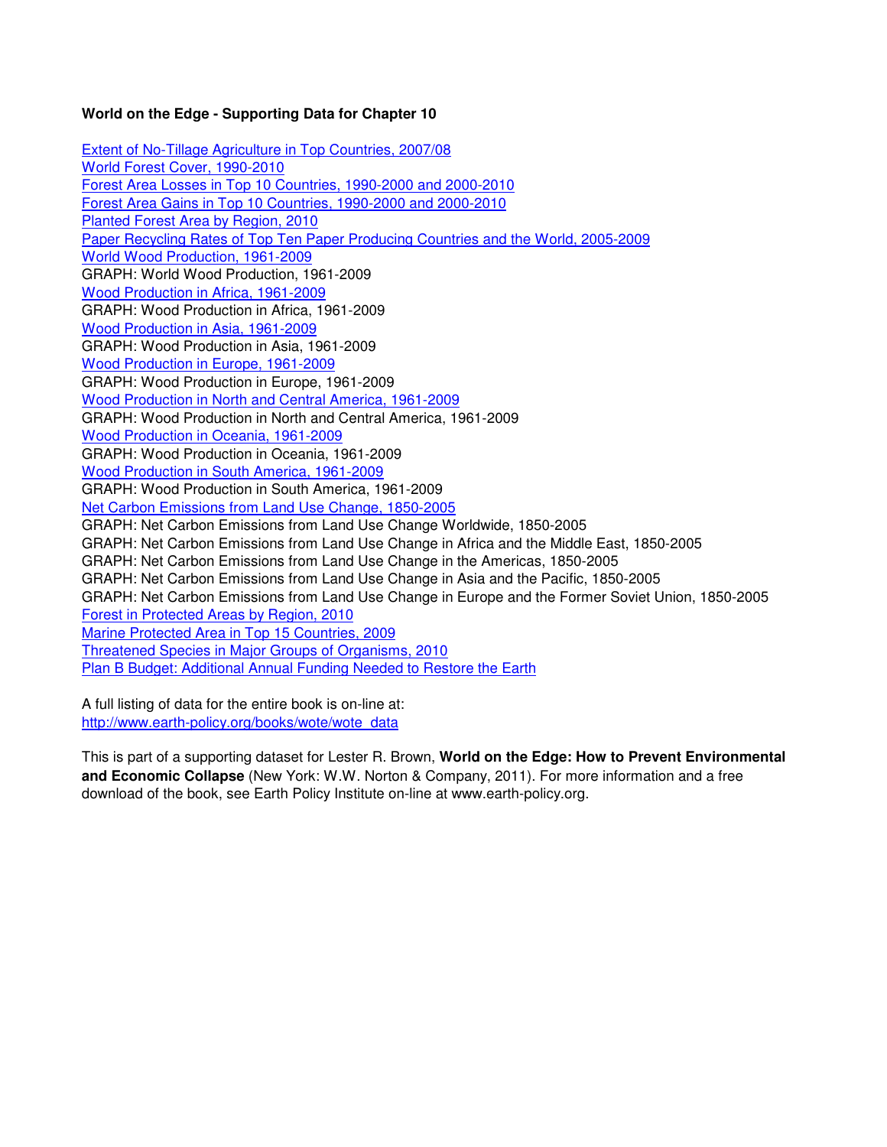## **World on the Edge - Supporting Data for Chapter 10**

Extent of No-Tillage Agriculture in Top Countries, 2007/08 World Forest Cover, 1990-2010 Forest Area Losses in Top 10 Countries, 1990-2000 and 2000-2010 Forest Area Gains in Top 10 Countries, 1990-2000 and 2000-2010 Planted Forest Area by Region, 2010 Paper Recycling Rates of Top Ten Paper Producing Countries and the World, 2005-2009 World Wood Production, 1961-2009 GRAPH: World Wood Production, 1961-2009 Wood Production in Africa, 1961-2009 GRAPH: Wood Production in Africa, 1961-2009 Wood Production in Asia, 1961-2009 GRAPH: Wood Production in Asia, 1961-2009 Wood Production in Europe, 1961-2009 GRAPH: Wood Production in Europe, 1961-2009 Wood Production in North and Central America, 1961-2009 GRAPH: Wood Production in North and Central America, 1961-2009 Wood Production in Oceania, 1961-2009 GRAPH: Wood Production in Oceania, 1961-2009 Wood Production in South America, 1961-2009 GRAPH: Wood Production in South America, 1961-2009 Net Carbon Emissions from Land Use Change, 1850-2005 GRAPH: Net Carbon Emissions from Land Use Change Worldwide, 1850-2005 GRAPH: Net Carbon Emissions from Land Use Change in Africa and the Middle East, 1850-2005 GRAPH: Net Carbon Emissions from Land Use Change in the Americas, 1850-2005 GRAPH: Net Carbon Emissions from Land Use Change in Asia and the Pacific, 1850-2005 GRAPH: Net Carbon Emissions from Land Use Change in Europe and the Former Soviet Union, 1850-2005 Forest in Protected Areas by Region, 2010 Marine Protected Area in Top 15 Countries, 2009 Threatened Species in Major Groups of Organisms, 2010 Plan B Budget: Additional Annual Funding Needed to Restore the Earth

A full listing of data for the entire book is on-line at: http://www.earth-policy.org/books/wote/wote\_data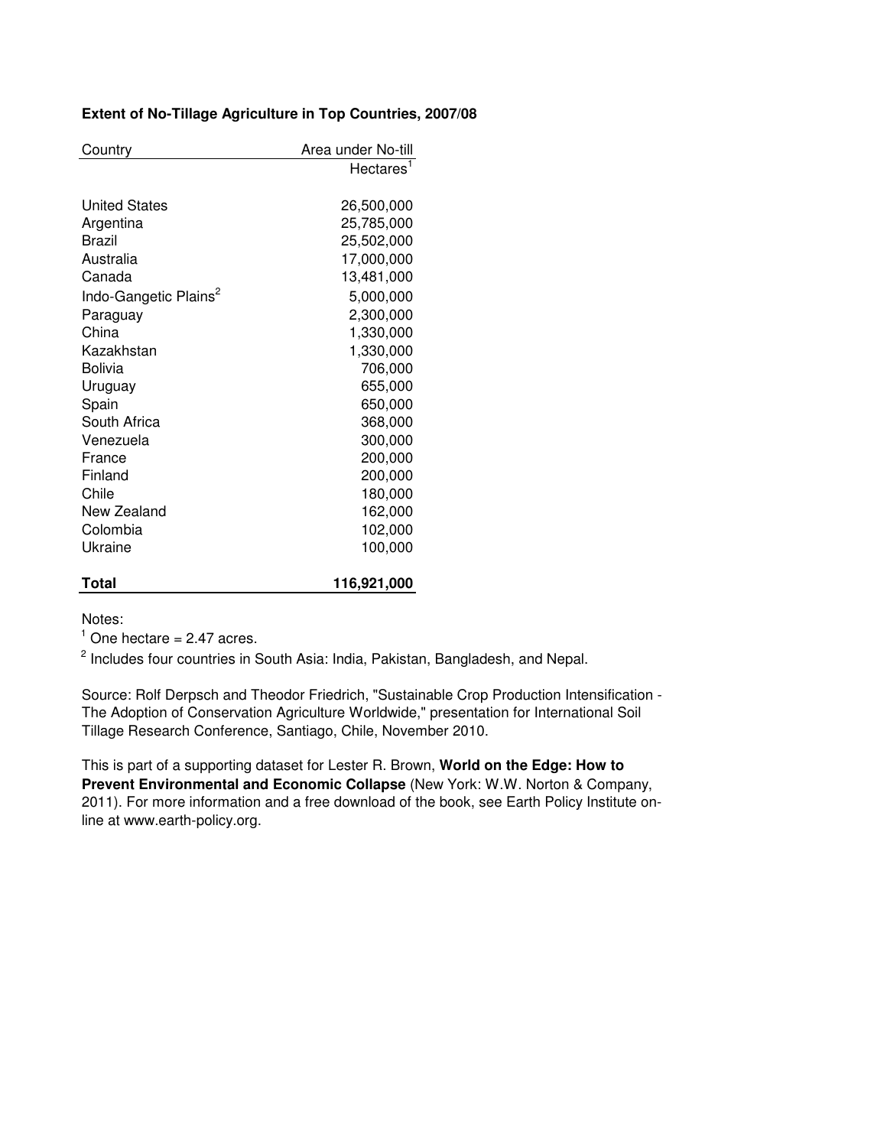# **Extent of No-Tillage Agriculture in Top Countries, 2007/08**

| Country                           | Area under No-till |
|-----------------------------------|--------------------|
|                                   | <b>Hectares</b>    |
|                                   |                    |
| <b>United States</b>              | 26,500,000         |
| Argentina                         | 25,785,000         |
| <b>Brazil</b>                     | 25,502,000         |
| Australia                         | 17,000,000         |
| Canada                            | 13,481,000         |
| Indo-Gangetic Plains <sup>2</sup> | 5,000,000          |
| Paraguay                          | 2,300,000          |
| China                             | 1,330,000          |
| Kazakhstan                        | 1,330,000          |
| <b>Bolivia</b>                    | 706,000            |
| Uruguay                           | 655,000            |
| Spain                             | 650,000            |
| South Africa                      | 368,000            |
| Venezuela                         | 300,000            |
| France                            | 200,000            |
| Finland                           | 200,000            |
| Chile                             | 180,000            |
| New Zealand                       | 162,000            |
| Colombia                          | 102,000            |
| Ukraine                           | 100,000            |
|                                   |                    |
| Total                             | 116,921,000        |

Notes:

 $<sup>1</sup>$  One hectare = 2.47 acres.</sup>

<sup>2</sup> Includes four countries in South Asia: India, Pakistan, Bangladesh, and Nepal.

Source: Rolf Derpsch and Theodor Friedrich, "Sustainable Crop Production Intensification - The Adoption of Conservation Agriculture Worldwide," presentation for International Soil Tillage Research Conference, Santiago, Chile, November 2010.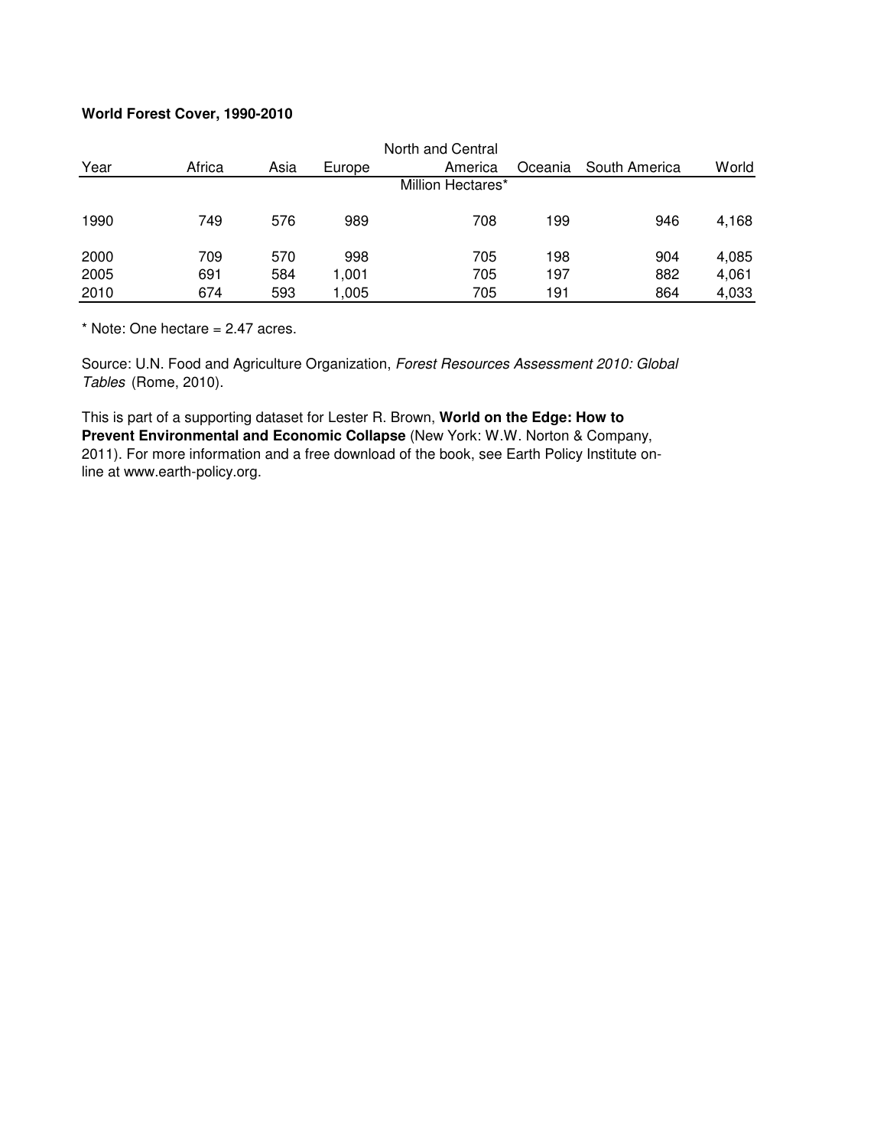# **World Forest Cover, 1990-2010**

|      |        |      |        | North and Central |         |               |       |
|------|--------|------|--------|-------------------|---------|---------------|-------|
| Year | Africa | Asia | Europe | America           | Oceania | South America | World |
|      |        |      |        | Million Hectares* |         |               |       |
| 1990 | 749    | 576  | 989    | 708               | 199     | 946           | 4,168 |
| 2000 | 709    | 570  | 998    | 705               | 198     | 904           | 4,085 |
| 2005 | 691    | 584  | 1,001  | 705               | 197     | 882           | 4,061 |
| 2010 | 674    | 593  | 1,005  | 705               | 191     | 864           | 4,033 |

 $*$  Note: One hectare = 2.47 acres.

Source: U.N. Food and Agriculture Organization, Forest Resources Assessment 2010: Global Tables (Rome, 2010).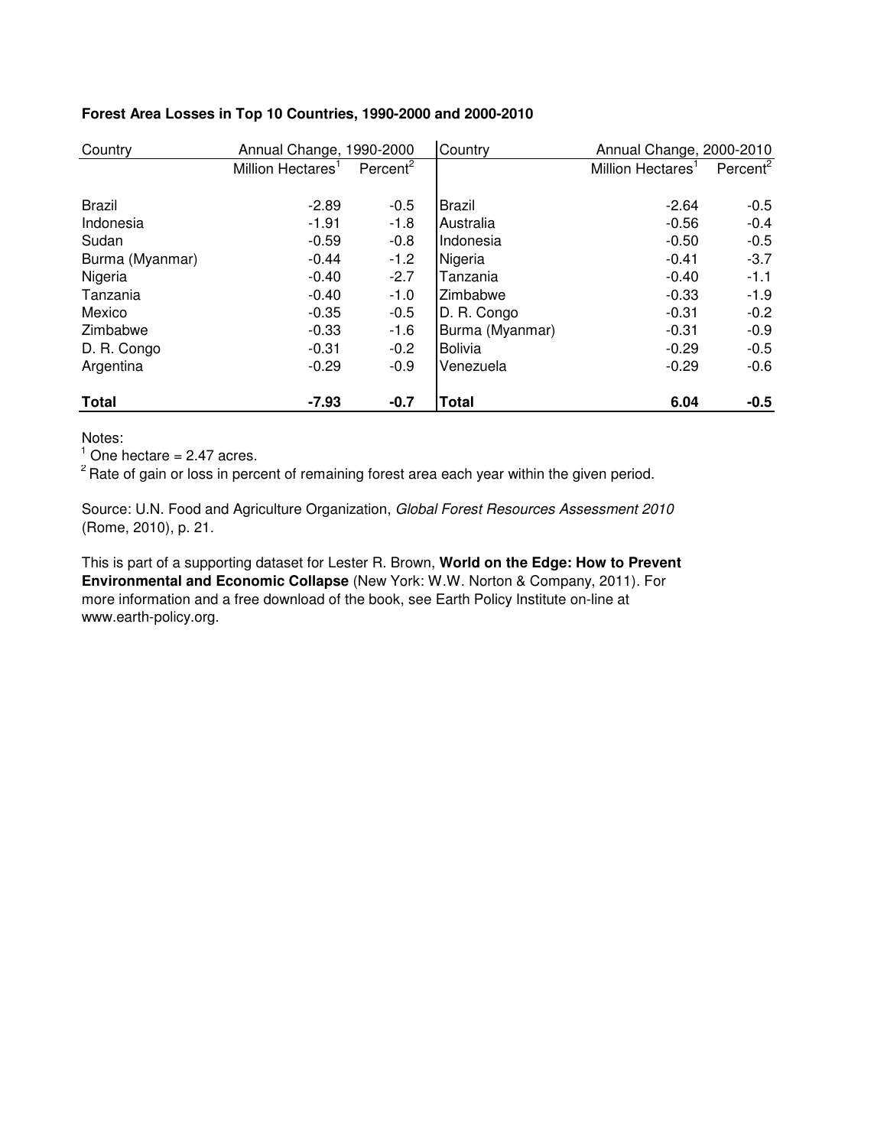| Country         | Annual Change, 1990-2000      |                      | Country         | Annual Change, 2000-2010      |                      |
|-----------------|-------------------------------|----------------------|-----------------|-------------------------------|----------------------|
|                 | Million Hectares <sup>1</sup> | Percent <sup>2</sup> |                 | Million Hectares <sup>1</sup> | Percent <sup>2</sup> |
|                 |                               |                      |                 |                               |                      |
| Brazil          | $-2.89$                       | $-0.5$               | <b>Brazil</b>   | $-2.64$                       | $-0.5$               |
| Indonesia       | $-1.91$                       | $-1.8$               | Australia       | $-0.56$                       | $-0.4$               |
| Sudan           | $-0.59$                       | $-0.8$               | Indonesia       | $-0.50$                       | $-0.5$               |
| Burma (Myanmar) | $-0.44$                       | $-1.2$               | Nigeria         | $-0.41$                       | $-3.7$               |
| Nigeria         | $-0.40$                       | $-2.7$               | Tanzania        | $-0.40$                       | $-1.1$               |
| Tanzania        | $-0.40$                       | $-1.0$               | Zimbabwe        | $-0.33$                       | $-1.9$               |
| Mexico          | $-0.35$                       | $-0.5$               | D. R. Congo     | $-0.31$                       | $-0.2$               |
| Zimbabwe        | $-0.33$                       | $-1.6$               | Burma (Myanmar) | $-0.31$                       | $-0.9$               |
| D. R. Congo     | $-0.31$                       | $-0.2$               | <b>Bolivia</b>  | $-0.29$                       | $-0.5$               |
| Argentina       | $-0.29$                       | $-0.9$               | Venezuela       | $-0.29$                       | $-0.6$               |
| <b>Total</b>    | $-7.93$                       | $-0.7$               | <b>Total</b>    | 6.04                          | $-0.5$               |

## **Forest Area Losses in Top 10 Countries, 1990-2000 and 2000-2010**

Notes:

 $<sup>1</sup>$  One hectare = 2.47 acres.</sup>

<sup>2</sup> Rate of gain or loss in percent of remaining forest area each year within the given period.

Source: U.N. Food and Agriculture Organization, Global Forest Resources Assessment 2010 (Rome, 2010), p. 21.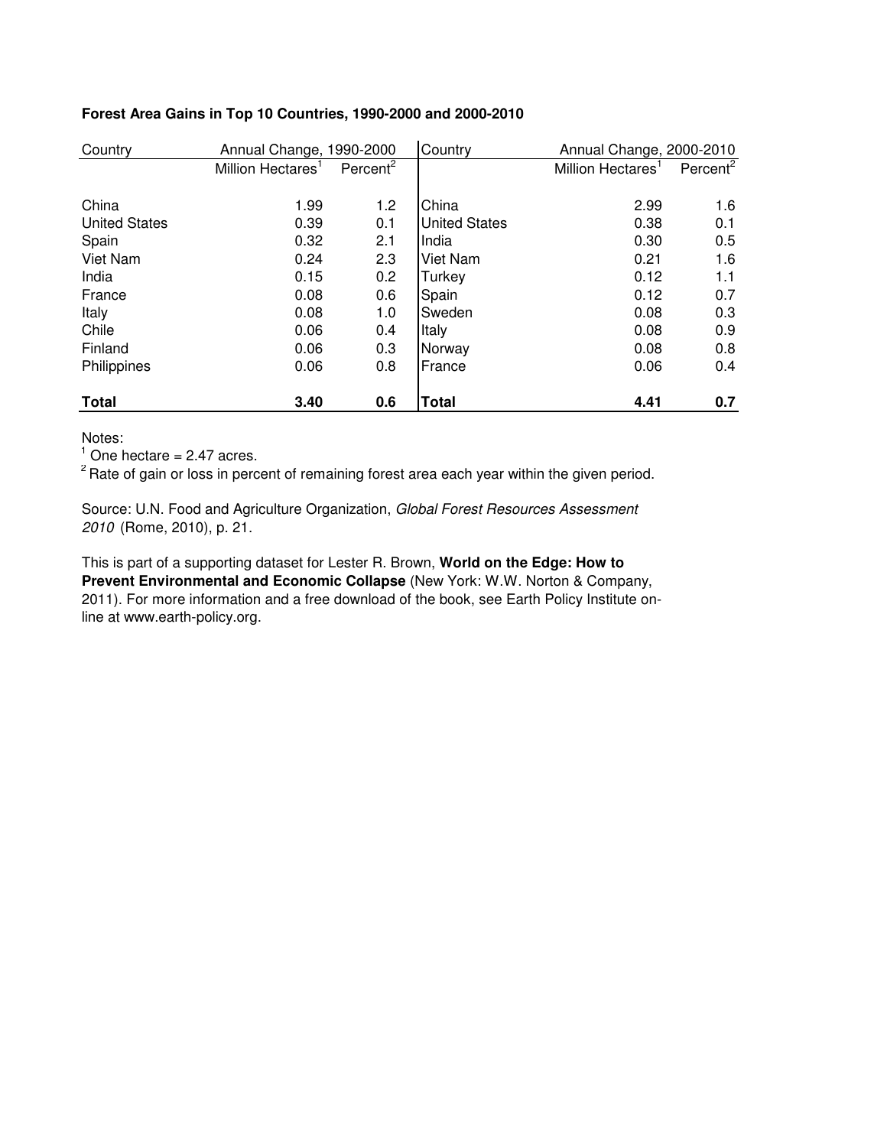| Country              | Annual Change, 1990-2000      |                      | Country              | Annual Change, 2000-2010      |                      |
|----------------------|-------------------------------|----------------------|----------------------|-------------------------------|----------------------|
|                      | Million Hectares <sup>1</sup> | Percent <sup>2</sup> |                      | Million Hectares <sup>1</sup> | Percent <sup>2</sup> |
| China                | 1.99                          | 1.2                  | China                | 2.99                          | 1.6                  |
| <b>United States</b> | 0.39                          | 0.1                  | <b>United States</b> | 0.38                          | 0.1                  |
| Spain                | 0.32                          | 2.1                  | India                | 0.30                          | 0.5                  |
| Viet Nam             | 0.24                          | 2.3                  | Viet Nam             | 0.21                          | 1.6                  |
| India                | 0.15                          | 0.2                  | Turkey               | 0.12                          | 1.1                  |
| France               | 0.08                          | 0.6                  | Spain                | 0.12                          | 0.7                  |
| Italy                | 0.08                          | 1.0                  | Sweden               | 0.08                          | 0.3                  |
| Chile                | 0.06                          | 0.4                  | Italy                | 0.08                          | 0.9                  |
| Finland              | 0.06                          | 0.3                  | Norway               | 0.08                          | 0.8                  |
| Philippines          | 0.06                          | 0.8                  | France               | 0.06                          | 0.4                  |
| <b>Total</b>         | 3.40                          | 0.6                  | <b>Total</b>         | 4.41                          | 0.7                  |

## **Forest Area Gains in Top 10 Countries, 1990-2000 and 2000-2010**

Notes:

 $<sup>1</sup>$  One hectare = 2.47 acres.</sup>

<sup>2</sup> Rate of gain or loss in percent of remaining forest area each year within the given period.

Source: U.N. Food and Agriculture Organization, Global Forest Resources Assessment 2010 (Rome, 2010), p. 21.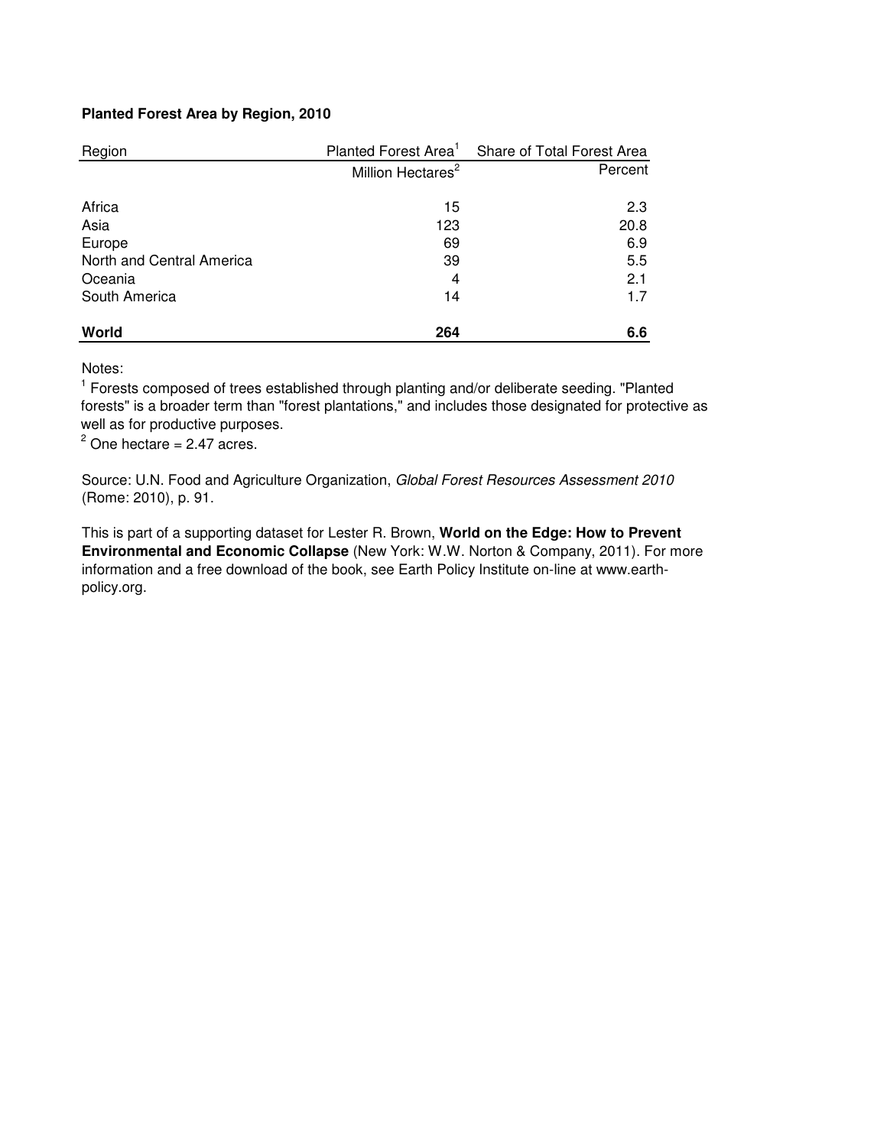# **Planted Forest Area by Region, 2010**

| Region                    |                               | Planted Forest Area <sup>1</sup> Share of Total Forest Area |
|---------------------------|-------------------------------|-------------------------------------------------------------|
|                           | Million Hectares <sup>2</sup> | Percent                                                     |
| Africa                    | 15                            | 2.3                                                         |
| Asia                      | 123                           | 20.8                                                        |
| Europe                    | 69                            | 6.9                                                         |
| North and Central America | 39                            | 5.5                                                         |
| Oceania                   | 4                             | 2.1                                                         |
| South America             | 14                            | 1.7                                                         |
| World                     | 264                           | 6.6                                                         |

Notes:

<sup>1</sup> Forests composed of trees established through planting and/or deliberate seeding. "Planted forests" is a broader term than "forest plantations," and includes those designated for protective as well as for productive purposes.

 $2$  One hectare = 2.47 acres.

Source: U.N. Food and Agriculture Organization, Global Forest Resources Assessment 2010 (Rome: 2010), p. 91.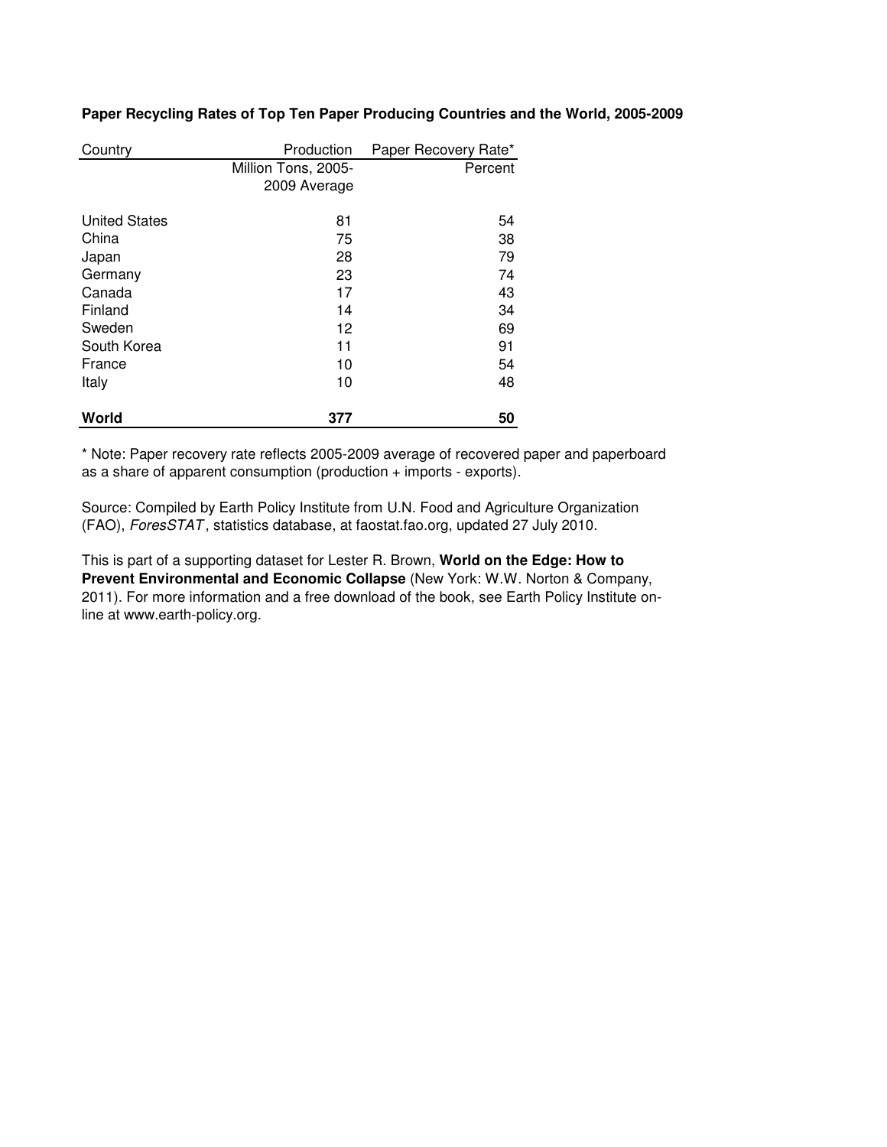| Country              | Production          | Paper Recovery Rate* |
|----------------------|---------------------|----------------------|
|                      | Million Tons, 2005- | Percent              |
|                      | 2009 Average        |                      |
| <b>United States</b> | 81                  | 54                   |
| China                | 75                  | 38                   |
| Japan                | 28                  | 79                   |
| Germany              | 23                  | 74                   |
| Canada               | 17                  | 43                   |
| Finland              | 14                  | 34                   |
| Sweden               | 12                  | 69                   |
| South Korea          | 11                  | 91                   |
| France               | 10                  | 54                   |
| Italy                | 10                  | 48                   |
| World                | 377                 | 50                   |

### **Paper Recycling Rates of Top Ten Paper Producing Countries and the World, 2005-2009**

\* Note: Paper recovery rate reflects 2005-2009 average of recovered paper and paperboard as a share of apparent consumption (production + imports - exports).

Source: Compiled by Earth Policy Institute from U.N. Food and Agriculture Organization (FAO), ForesSTAT , statistics database, at faostat.fao.org, updated 27 July 2010.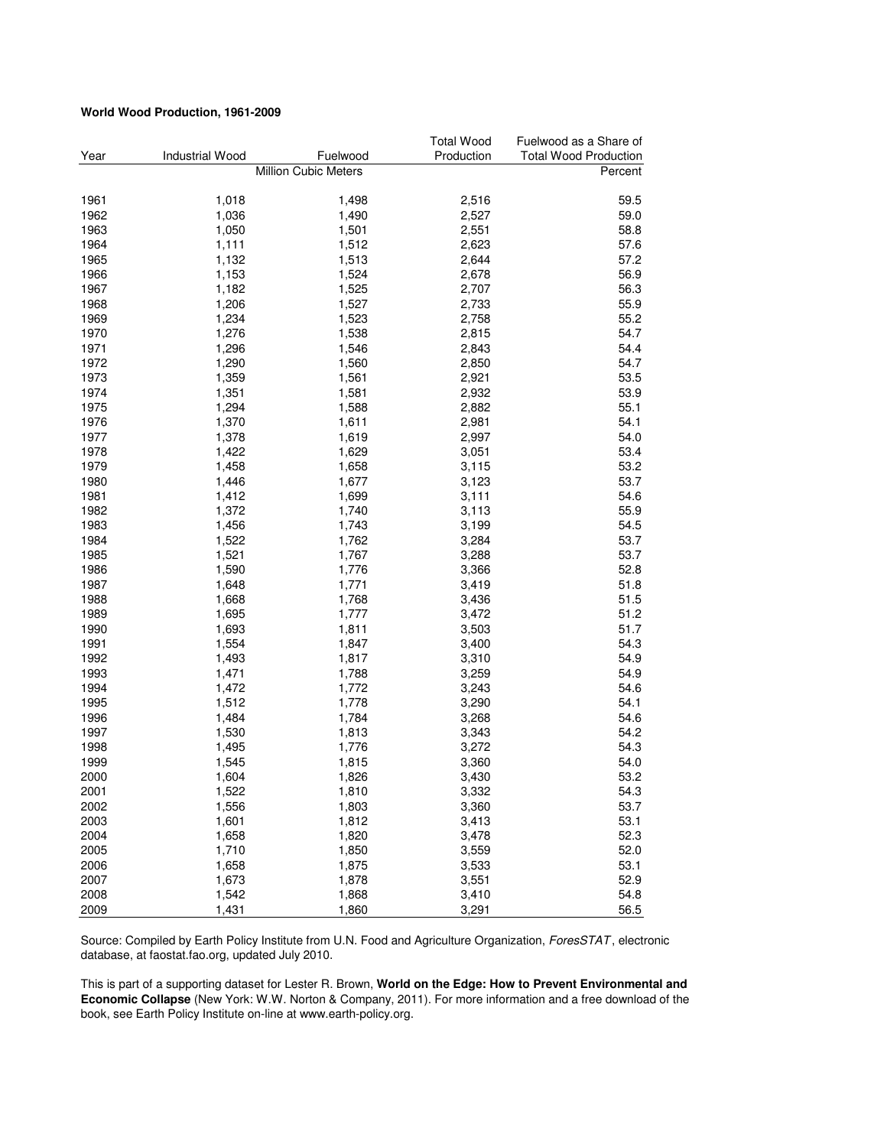#### **World Wood Production, 1961-2009**

|      | <b>Industrial Wood</b> | Fuelwood             | <b>Total Wood</b><br>Production | Fuelwood as a Share of       |
|------|------------------------|----------------------|---------------------------------|------------------------------|
| Year |                        |                      |                                 | <b>Total Wood Production</b> |
|      |                        | Million Cubic Meters |                                 | Percent                      |
| 1961 | 1,018                  | 1,498                | 2,516                           | 59.5                         |
| 1962 | 1,036                  | 1,490                | 2,527                           | 59.0                         |
| 1963 | 1,050                  | 1,501                | 2,551                           | 58.8                         |
| 1964 | 1,111                  | 1,512                | 2,623                           | 57.6                         |
| 1965 | 1,132                  | 1,513                | 2,644                           | 57.2                         |
| 1966 | 1,153                  | 1,524                | 2,678                           | 56.9                         |
| 1967 | 1,182                  | 1,525                | 2,707                           | 56.3                         |
| 1968 | 1,206                  | 1,527                | 2,733                           | 55.9                         |
| 1969 | 1,234                  | 1,523                | 2,758                           | 55.2                         |
| 1970 | 1,276                  | 1,538                | 2,815                           | 54.7                         |
| 1971 | 1,296                  | 1,546                | 2,843                           | 54.4                         |
| 1972 | 1,290                  | 1,560                | 2,850                           | 54.7                         |
| 1973 | 1,359                  | 1,561                | 2,921                           | 53.5                         |
| 1974 | 1,351                  | 1,581                | 2,932                           | 53.9                         |
| 1975 | 1,294                  | 1,588                | 2,882                           | 55.1                         |
| 1976 | 1,370                  | 1,611                | 2,981                           | 54.1                         |
| 1977 | 1,378                  | 1,619                | 2,997                           | 54.0                         |
| 1978 | 1,422                  | 1,629                | 3,051                           | 53.4                         |
| 1979 | 1,458                  | 1,658                | 3,115                           | 53.2                         |
| 1980 | 1,446                  | 1,677                | 3,123                           | 53.7                         |
| 1981 | 1,412                  | 1,699                | 3,111                           | 54.6                         |
| 1982 | 1,372                  | 1,740                | 3,113                           | 55.9                         |
| 1983 | 1,456                  | 1,743                | 3,199                           | 54.5                         |
| 1984 | 1,522                  | 1,762                | 3,284                           | 53.7                         |
| 1985 | 1,521                  | 1,767                | 3,288                           | 53.7                         |
| 1986 | 1,590                  | 1,776                | 3,366                           | 52.8                         |
|      |                        |                      |                                 | 51.8                         |
| 1987 | 1,648                  | 1,771                | 3,419                           |                              |
| 1988 | 1,668                  | 1,768                | 3,436                           | 51.5                         |
| 1989 | 1,695                  | 1,777                | 3,472                           | 51.2                         |
| 1990 | 1,693                  | 1,811                | 3,503                           | 51.7                         |
| 1991 | 1,554                  | 1,847                | 3,400                           | 54.3                         |
| 1992 | 1,493                  | 1,817                | 3,310                           | 54.9                         |
| 1993 | 1,471                  | 1,788                | 3,259                           | 54.9                         |
| 1994 | 1,472                  | 1,772                | 3,243                           | 54.6                         |
| 1995 | 1,512                  | 1,778                | 3,290                           | 54.1                         |
| 1996 | 1,484                  | 1,784                | 3,268                           | 54.6                         |
| 1997 | 1,530                  | 1,813                | 3,343                           | 54.2                         |
| 1998 | 1,495                  | 1,776                | 3,272                           | 54.3                         |
| 1999 | 1,545                  | 1,815                | 3,360                           | 54.0                         |
| 2000 | 1,604                  | 1,826                | 3,430                           | 53.2                         |
| 2001 | 1,522                  | 1,810                | 3,332                           | 54.3                         |
| 2002 | 1,556                  | 1,803                | 3,360                           | 53.7                         |
| 2003 | 1,601                  | 1,812                | 3,413                           | 53.1                         |
| 2004 | 1,658                  | 1,820                | 3,478                           | 52.3                         |
| 2005 | 1,710                  | 1,850                | 3,559                           | 52.0                         |
| 2006 | 1,658                  | 1,875                | 3,533                           | 53.1                         |
| 2007 | 1,673                  | 1,878                | 3,551                           | 52.9                         |
| 2008 | 1,542                  | 1,868                | 3,410                           | 54.8                         |
| 2009 | 1,431                  | 1,860                | 3,291                           | 56.5                         |

Source: Compiled by Earth Policy Institute from U.N. Food and Agriculture Organization, ForesSTAT, electronic database, at faostat.fao.org, updated July 2010.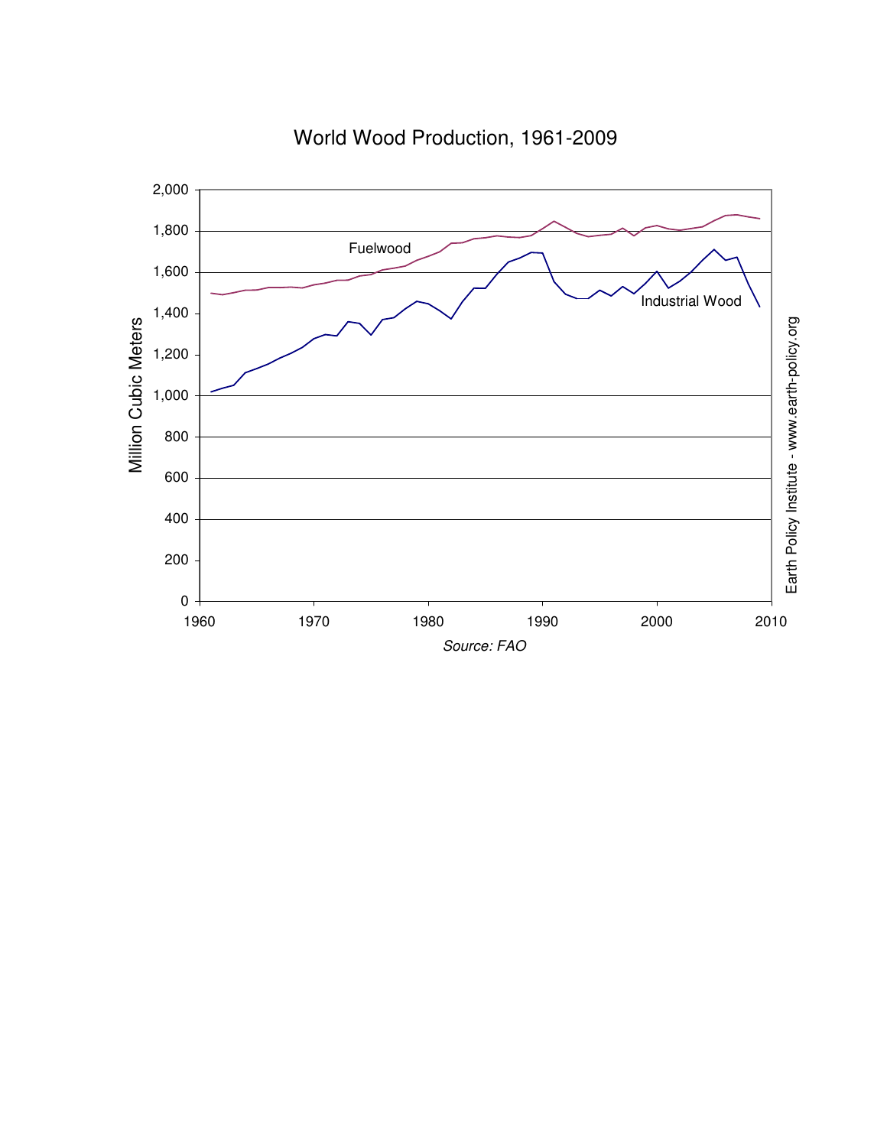

# World Wood Production, 1961-2009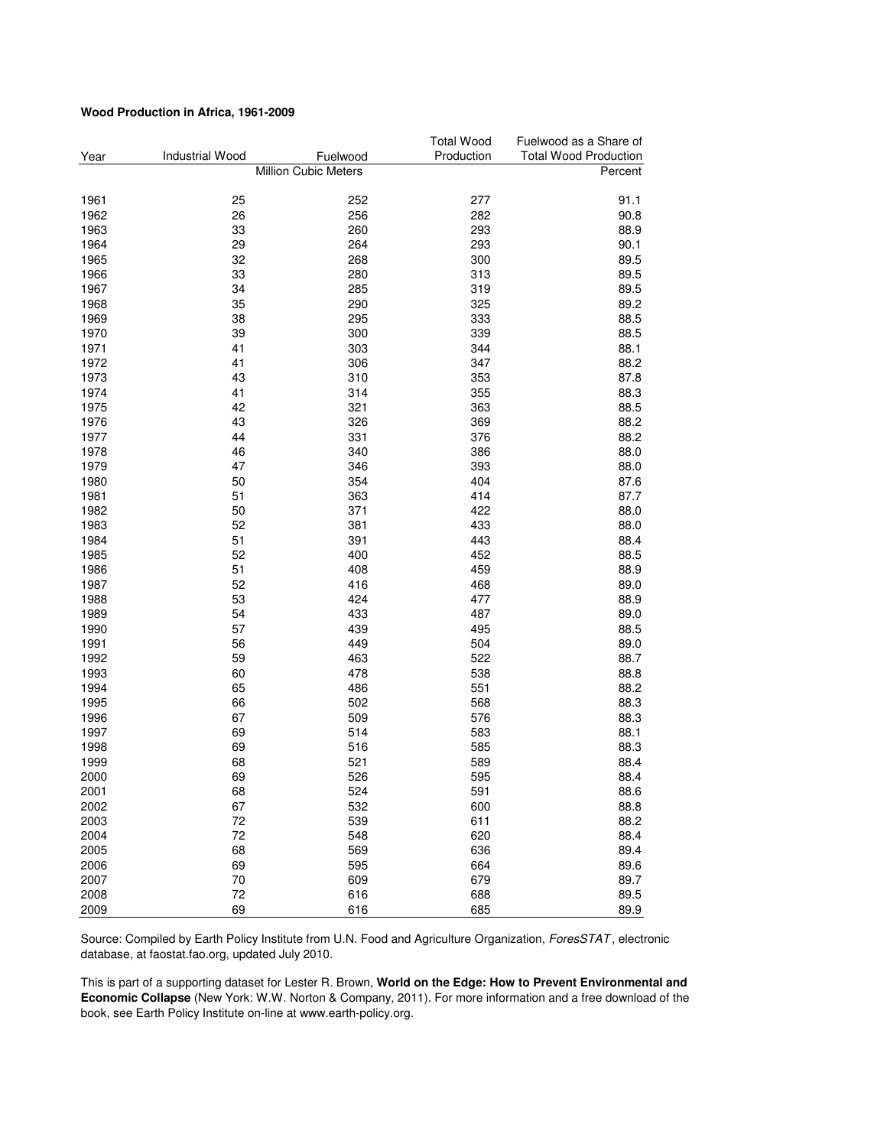#### **Wood Production in Africa, 1961-2009**

|      |                 |                      | <b>Total Wood</b> | Fuelwood as a Share of       |
|------|-----------------|----------------------|-------------------|------------------------------|
| Year | Industrial Wood | Fuelwood             | Production        | <b>Total Wood Production</b> |
|      |                 | Million Cubic Meters |                   | Percent                      |
| 1961 | 25              | 252                  | 277               | 91.1                         |
| 1962 | 26              | 256                  | 282               | 90.8                         |
| 1963 | 33              | 260                  | 293               | 88.9                         |
| 1964 | 29              | 264                  | 293               | 90.1                         |
| 1965 | 32              | 268                  | 300               | 89.5                         |
| 1966 | 33              | 280                  | 313               | 89.5                         |
| 1967 | 34              | 285                  | 319               | 89.5                         |
| 1968 | 35              | 290                  | 325               | 89.2                         |
| 1969 | 38              | 295                  | 333               | 88.5                         |
| 1970 | 39              | 300                  | 339               | 88.5                         |
| 1971 | 41              | 303                  | 344               | 88.1                         |
| 1972 | 41              | 306                  | 347               | 88.2                         |
| 1973 | 43              | 310                  | 353               | 87.8                         |
| 1974 | 41              | 314                  | 355               | 88.3                         |
| 1975 | 42              | 321                  | 363               | 88.5                         |
| 1976 | 43              | 326                  | 369               | 88.2                         |
| 1977 | 44              | 331                  | 376               | 88.2                         |
| 1978 | 46              | 340                  | 386               | 88.0                         |
| 1979 | 47              | 346                  | 393               | 88.0                         |
| 1980 | 50              | 354                  | 404               | 87.6                         |
| 1981 | 51              | 363                  | 414               | 87.7                         |
| 1982 | 50              | 371                  | 422               | 88.0                         |
| 1983 | 52              | 381                  | 433               | 88.0                         |
| 1984 | 51              | 391                  | 443               | 88.4                         |
| 1985 | 52              | 400                  | 452               | 88.5                         |
| 1986 | 51              | 408                  | 459               | 88.9                         |
| 1987 | 52              | 416                  | 468               | 89.0                         |
| 1988 | 53              | 424                  | 477               | 88.9                         |
| 1989 | 54              | 433                  | 487               | 89.0                         |
| 1990 | 57              | 439                  | 495               | 88.5                         |
| 1991 | 56              | 449                  | 504               | 89.0                         |
| 1992 | 59              | 463                  | 522               | 88.7                         |
| 1993 | 60              | 478                  | 538               | 88.8                         |
| 1994 | 65              | 486                  | 551               | 88.2                         |
| 1995 | 66              | 502                  | 568               | 88.3                         |
| 1996 | 67              | 509                  | 576               | 88.3                         |
| 1997 | 69              | 514                  | 583               | 88.1                         |
| 1998 | 69              | 516                  | 585               | 88.3                         |
| 1999 | 68              | 521                  | 589               | 88.4                         |
| 2000 | 69              | 526                  | 595               | 88.4                         |
| 2001 | 68              | 524                  | 591               | 88.6                         |
| 2002 | 67              | 532                  | 600               | 88.8                         |
| 2003 | 72              | 539                  | 611               | 88.2                         |
| 2004 | 72              | 548                  | 620               | 88.4                         |
| 2005 | 68              | 569                  | 636               | 89.4                         |
| 2006 | 69              | 595                  | 664               | 89.6                         |
| 2007 | 70              | 609                  | 679               | 89.7                         |
| 2008 | 72              | 616                  | 688               | 89.5                         |
| 2009 | 69              | 616                  | 685               | 89.9                         |

Source: Compiled by Earth Policy Institute from U.N. Food and Agriculture Organization, ForesSTAT, electronic database, at faostat.fao.org, updated July 2010.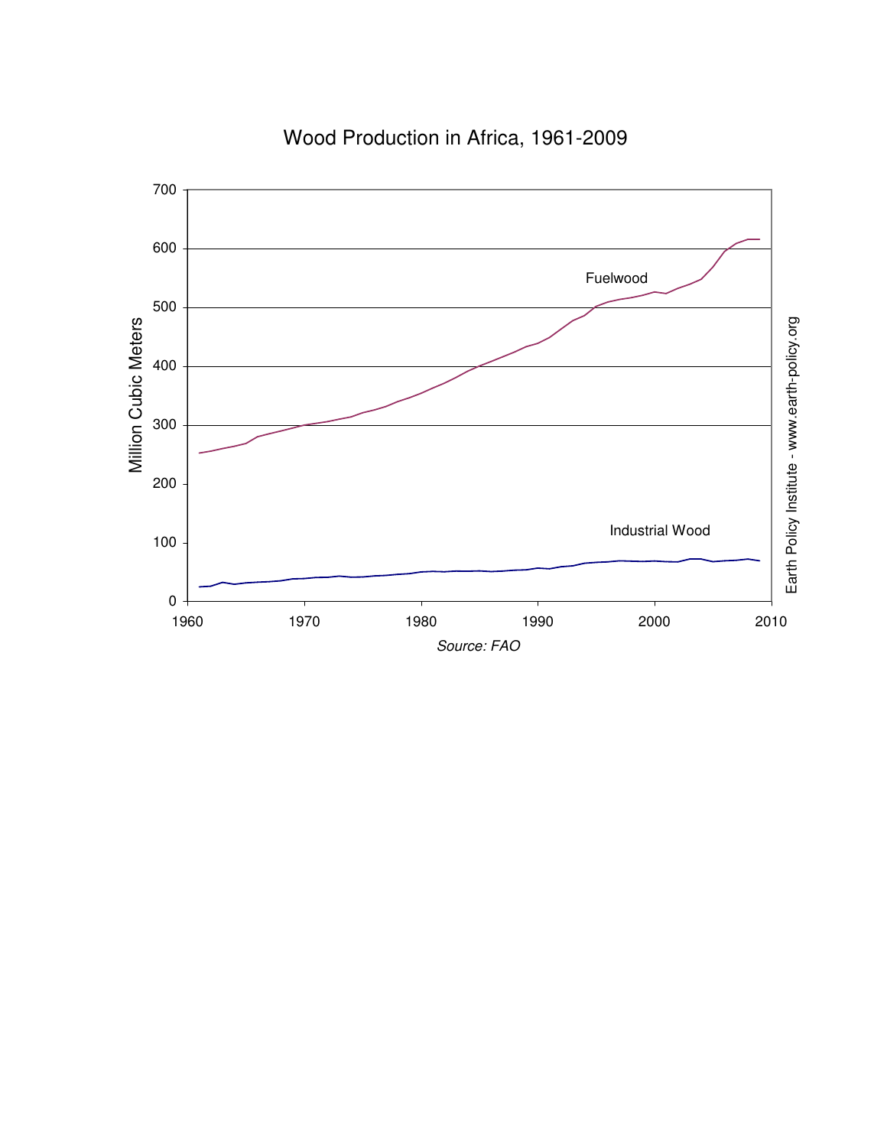

# Wood Production in Africa, 1961-2009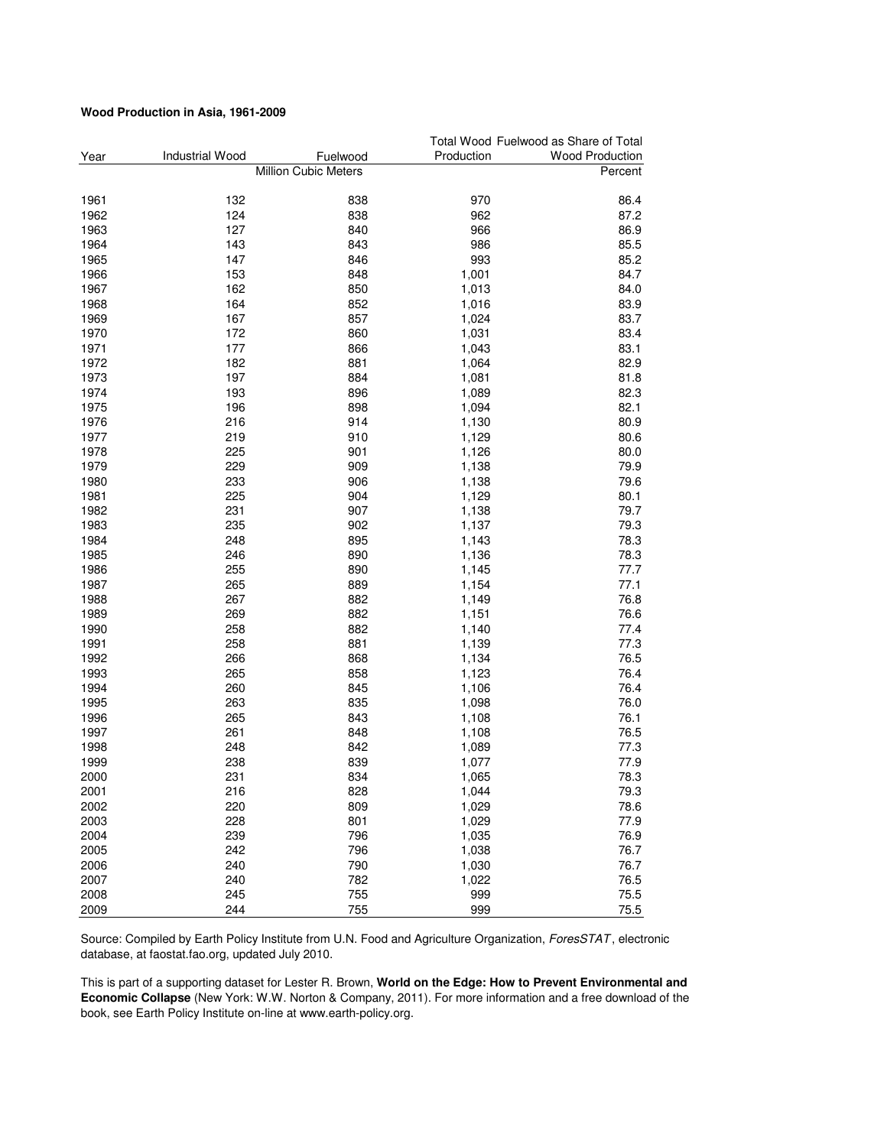#### **Wood Production in Asia, 1961-2009**

|      |                        |                      |            | Total Wood Fuelwood as Share of Total |
|------|------------------------|----------------------|------------|---------------------------------------|
| Year | <b>Industrial Wood</b> | Fuelwood             | Production | <b>Wood Production</b>                |
|      |                        | Million Cubic Meters |            | Percent                               |
| 1961 | 132                    | 838                  | 970        | 86.4                                  |
| 1962 | 124                    | 838                  | 962        | 87.2                                  |
| 1963 | 127                    | 840                  | 966        | 86.9                                  |
| 1964 | 143                    | 843                  | 986        | 85.5                                  |
| 1965 | 147                    | 846                  | 993        | 85.2                                  |
| 1966 | 153                    | 848                  | 1,001      | 84.7                                  |
| 1967 | 162                    | 850                  | 1,013      | 84.0                                  |
| 1968 | 164                    | 852                  | 1,016      | 83.9                                  |
| 1969 | 167                    | 857                  | 1,024      | 83.7                                  |
| 1970 | 172                    | 860                  | 1,031      | 83.4                                  |
| 1971 | 177                    | 866                  | 1,043      | 83.1                                  |
| 1972 | 182                    | 881                  | 1,064      | 82.9                                  |
| 1973 | 197                    | 884                  | 1,081      | 81.8                                  |
| 1974 | 193                    | 896                  | 1,089      | 82.3                                  |
| 1975 | 196                    | 898                  | 1,094      | 82.1                                  |
| 1976 | 216                    | 914                  | 1,130      | 80.9                                  |
| 1977 | 219                    | 910                  | 1,129      | 80.6                                  |
| 1978 | 225                    | 901                  | 1,126      | 80.0                                  |
| 1979 | 229                    | 909                  | 1,138      | 79.9                                  |
| 1980 | 233                    | 906                  | 1,138      | 79.6                                  |
| 1981 | 225                    | 904                  | 1,129      | 80.1                                  |
| 1982 | 231                    | 907                  | 1,138      | 79.7                                  |
| 1983 | 235                    | 902                  | 1,137      | 79.3                                  |
| 1984 | 248                    | 895                  | 1,143      | 78.3                                  |
| 1985 | 246                    | 890                  | 1,136      | 78.3                                  |
| 1986 | 255                    | 890                  | 1,145      | 77.7                                  |
| 1987 | 265                    | 889                  | 1,154      | 77.1                                  |
| 1988 | 267                    | 882                  | 1,149      | 76.8                                  |
| 1989 | 269                    | 882                  | 1,151      | 76.6                                  |
| 1990 | 258                    | 882                  | 1,140      | 77.4                                  |
| 1991 | 258                    | 881                  | 1,139      | 77.3                                  |
| 1992 | 266                    | 868                  | 1,134      | 76.5                                  |
| 1993 | 265                    | 858                  | 1,123      | 76.4                                  |
| 1994 | 260                    | 845                  | 1,106      | 76.4                                  |
| 1995 | 263                    | 835                  | 1,098      | 76.0                                  |
| 1996 | 265                    | 843                  | 1,108      | 76.1                                  |
| 1997 | 261                    | 848                  | 1,108      | 76.5                                  |
| 1998 | 248                    | 842                  | 1,089      | 77.3                                  |
| 1999 | 238                    | 839                  | 1,077      | 77.9                                  |
| 2000 | 231                    | 834                  | 1,065      | 78.3                                  |
| 2001 | 216                    | 828                  | 1,044      | 79.3                                  |
| 2002 | 220                    | 809                  | 1,029      | 78.6                                  |
| 2003 | 228                    | 801                  | 1,029      | 77.9                                  |
| 2004 | 239                    | 796                  | 1,035      | 76.9                                  |
| 2005 | 242                    | 796                  | 1,038      | 76.7                                  |
| 2006 | 240                    | 790                  | 1,030      | 76.7                                  |
| 2007 | 240                    | 782                  | 1,022      | 76.5                                  |
| 2008 | 245                    | 755                  | 999        | 75.5                                  |
| 2009 | 244                    | 755                  | 999        | 75.5                                  |

Source: Compiled by Earth Policy Institute from U.N. Food and Agriculture Organization, ForesSTAT, electronic database, at faostat.fao.org, updated July 2010.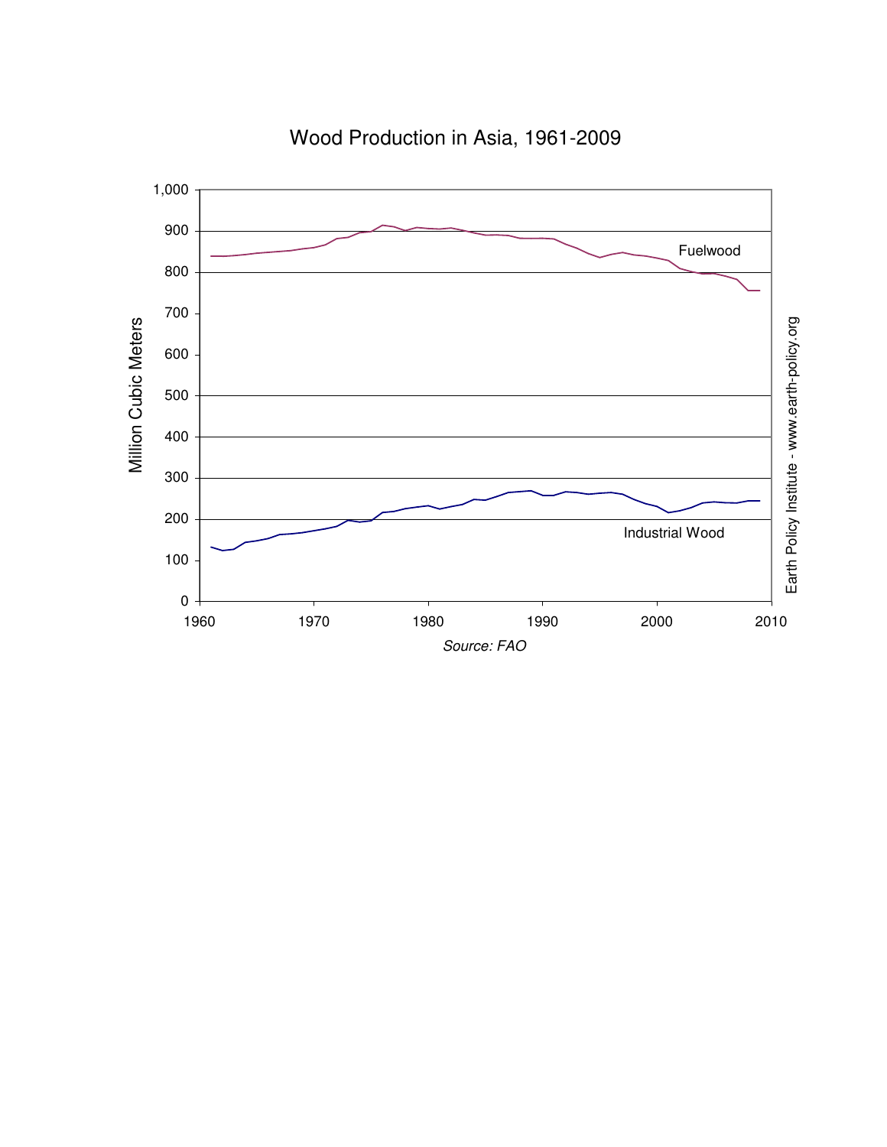

Wood Production in Asia, 1961-2009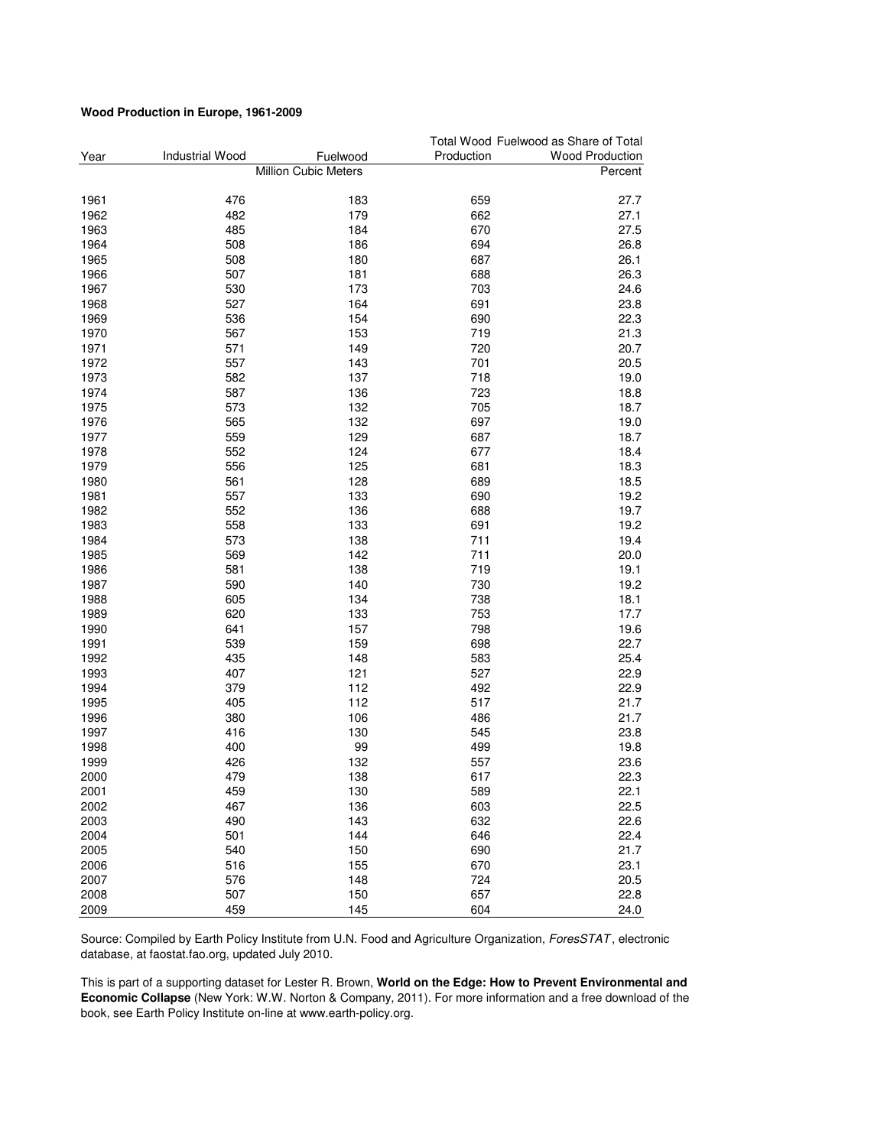#### **Wood Production in Europe, 1961-2009**

|      |                        |                      |            | Total Wood Fuelwood as Share of Total |
|------|------------------------|----------------------|------------|---------------------------------------|
| Year | <b>Industrial Wood</b> | Fuelwood             | Production | <b>Wood Production</b>                |
|      |                        | Million Cubic Meters |            | Percent                               |
| 1961 | 476                    | 183                  | 659        | 27.7                                  |
| 1962 | 482                    | 179                  | 662        | 27.1                                  |
| 1963 | 485                    | 184                  | 670        | 27.5                                  |
| 1964 | 508                    | 186                  | 694        | 26.8                                  |
| 1965 | 508                    | 180                  | 687        | 26.1                                  |
| 1966 | 507                    | 181                  | 688        | 26.3                                  |
| 1967 | 530                    | 173                  | 703        | 24.6                                  |
| 1968 | 527                    | 164                  | 691        | 23.8                                  |
| 1969 | 536                    | 154                  | 690        | 22.3                                  |
|      |                        |                      | 719        |                                       |
| 1970 | 567                    | 153                  |            | 21.3<br>20.7                          |
| 1971 | 571                    | 149                  | 720        |                                       |
| 1972 | 557                    | 143                  | 701        | 20.5                                  |
| 1973 | 582                    | 137                  | 718        | 19.0                                  |
| 1974 | 587                    | 136                  | 723        | 18.8                                  |
| 1975 | 573                    | 132                  | 705        | 18.7                                  |
| 1976 | 565                    | 132                  | 697        | 19.0                                  |
| 1977 | 559                    | 129                  | 687        | 18.7                                  |
| 1978 | 552                    | 124                  | 677        | 18.4                                  |
| 1979 | 556                    | 125                  | 681        | 18.3                                  |
| 1980 | 561                    | 128                  | 689        | 18.5                                  |
| 1981 | 557                    | 133                  | 690        | 19.2                                  |
| 1982 | 552                    | 136                  | 688        | 19.7                                  |
| 1983 | 558                    | 133                  | 691        | 19.2                                  |
| 1984 | 573                    | 138                  | 711        | 19.4                                  |
| 1985 | 569                    | 142                  | 711        | 20.0                                  |
| 1986 | 581                    | 138                  | 719        | 19.1                                  |
| 1987 | 590                    | 140                  | 730        | 19.2                                  |
| 1988 | 605                    | 134                  | 738        | 18.1                                  |
| 1989 | 620                    | 133                  | 753        | 17.7                                  |
| 1990 | 641                    | 157                  | 798        | 19.6                                  |
| 1991 | 539                    | 159                  | 698        | 22.7                                  |
| 1992 | 435                    | 148                  | 583        | 25.4                                  |
| 1993 | 407                    | 121                  | 527        | 22.9                                  |
| 1994 | 379                    | 112                  | 492        | 22.9                                  |
| 1995 | 405                    | 112                  | 517        | 21.7                                  |
| 1996 | 380                    | 106                  | 486        | 21.7                                  |
| 1997 | 416                    | 130                  | 545        | 23.8                                  |
| 1998 | 400                    | 99                   | 499        | 19.8                                  |
| 1999 | 426                    | 132                  | 557        | 23.6                                  |
| 2000 | 479                    | 138                  | 617        | 22.3                                  |
| 2001 | 459                    | 130                  | 589        | 22.1                                  |
| 2002 | 467                    | 136                  | 603        | 22.5                                  |
| 2003 | 490                    | 143                  | 632        | 22.6                                  |
| 2004 | 501                    | 144                  | 646        | 22.4                                  |
| 2005 | 540                    | 150                  | 690        | 21.7                                  |
| 2006 | 516                    | 155                  | 670        | 23.1                                  |
| 2007 | 576                    | 148                  | 724        | 20.5                                  |
| 2008 | 507                    | 150                  | 657        | 22.8                                  |
| 2009 | 459                    | 145                  | 604        | 24.0                                  |

Source: Compiled by Earth Policy Institute from U.N. Food and Agriculture Organization, ForesSTAT, electronic database, at faostat.fao.org, updated July 2010.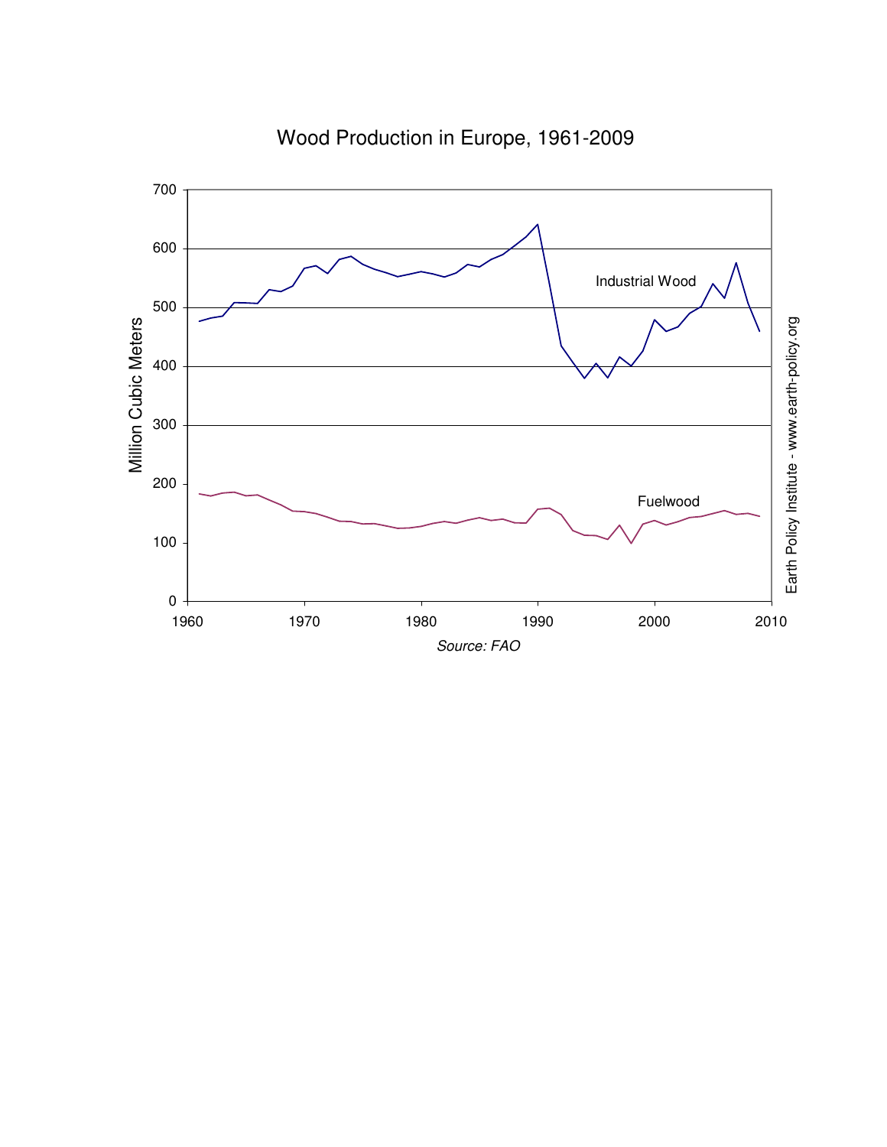

Wood Production in Europe, 1961-2009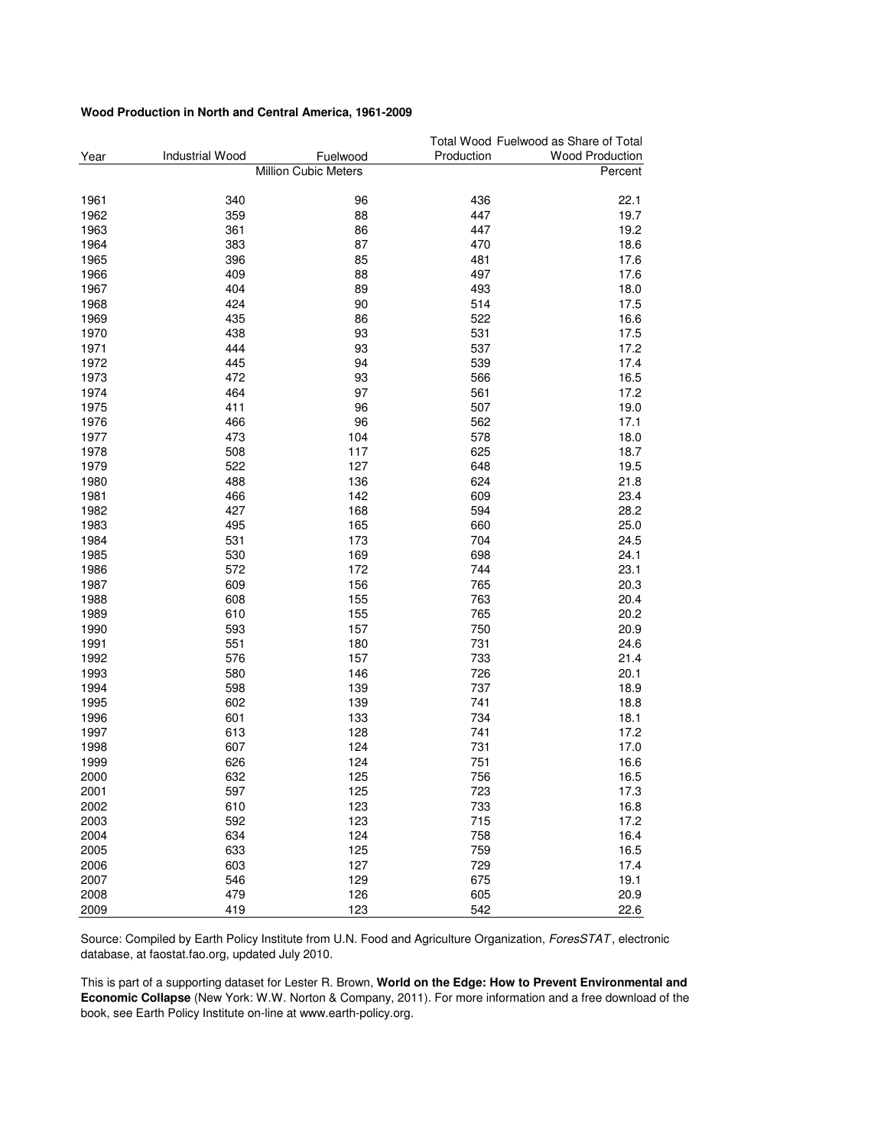#### **Wood Production in North and Central America, 1961-2009**

|      |                        |                      |            | Total Wood Fuelwood as Share of Total |
|------|------------------------|----------------------|------------|---------------------------------------|
| Year | <b>Industrial Wood</b> | Fuelwood             | Production | <b>Wood Production</b>                |
|      |                        | Million Cubic Meters |            | Percent                               |
| 1961 | 340                    | 96                   | 436        | 22.1                                  |
| 1962 | 359                    | 88                   | 447        | 19.7                                  |
| 1963 | 361                    | 86                   | 447        | 19.2                                  |
| 1964 | 383                    | 87                   | 470        | 18.6                                  |
| 1965 | 396                    | 85                   | 481        | 17.6                                  |
| 1966 | 409                    | 88                   | 497        | 17.6                                  |
| 1967 | 404                    | 89                   | 493        | 18.0                                  |
| 1968 | 424                    | 90                   | 514        | 17.5                                  |
| 1969 | 435                    | 86                   | 522        | 16.6                                  |
|      | 438                    |                      |            |                                       |
| 1970 |                        | 93                   | 531        | 17.5                                  |
| 1971 | 444                    | 93                   | 537        | 17.2                                  |
| 1972 | 445                    | 94                   | 539        | 17.4                                  |
| 1973 | 472                    | 93                   | 566        | 16.5                                  |
| 1974 | 464                    | 97                   | 561        | 17.2                                  |
| 1975 | 411                    | 96                   | 507        | 19.0                                  |
| 1976 | 466                    | 96                   | 562        | 17.1                                  |
| 1977 | 473                    | 104                  | 578        | 18.0                                  |
| 1978 | 508                    | 117                  | 625        | 18.7                                  |
| 1979 | 522                    | 127                  | 648        | 19.5                                  |
| 1980 | 488                    | 136                  | 624        | 21.8                                  |
| 1981 | 466                    | 142                  | 609        | 23.4                                  |
| 1982 | 427                    | 168                  | 594        | 28.2                                  |
| 1983 | 495                    | 165                  | 660        | 25.0                                  |
| 1984 | 531                    | 173                  | 704        | 24.5                                  |
| 1985 | 530                    | 169                  | 698        | 24.1                                  |
| 1986 | 572                    | 172                  | 744        | 23.1                                  |
| 1987 | 609                    | 156                  | 765        | 20.3                                  |
| 1988 | 608                    | 155                  | 763        | 20.4                                  |
| 1989 | 610                    | 155                  | 765        | 20.2                                  |
| 1990 | 593                    | 157                  | 750        | 20.9                                  |
| 1991 | 551                    | 180                  | 731        | 24.6                                  |
| 1992 | 576                    | 157                  | 733        | 21.4                                  |
| 1993 | 580                    | 146                  | 726        | 20.1                                  |
| 1994 | 598                    | 139                  | 737        | 18.9                                  |
| 1995 | 602                    | 139                  | 741        | 18.8                                  |
| 1996 | 601                    | 133                  | 734        | 18.1                                  |
| 1997 | 613                    | 128                  | 741        | 17.2                                  |
| 1998 | 607                    | 124                  | 731        | 17.0                                  |
| 1999 | 626                    | 124                  | 751        | 16.6                                  |
| 2000 | 632                    | 125                  | 756        | 16.5                                  |
| 2001 | 597                    | 125                  | 723        | 17.3                                  |
| 2002 | 610                    | 123                  | 733        | 16.8                                  |
| 2003 | 592                    | 123                  | 715        | 17.2                                  |
| 2004 | 634                    | 124                  | 758        | 16.4                                  |
| 2005 | 633                    | 125                  | 759        | 16.5                                  |
| 2006 | 603                    | 127                  | 729        | 17.4                                  |
| 2007 | 546                    | 129                  | 675        | 19.1                                  |
| 2008 | 479                    | 126                  | 605        | 20.9                                  |
| 2009 | 419                    | 123                  | 542        | 22.6                                  |

Source: Compiled by Earth Policy Institute from U.N. Food and Agriculture Organization, ForesSTAT, electronic database, at faostat.fao.org, updated July 2010.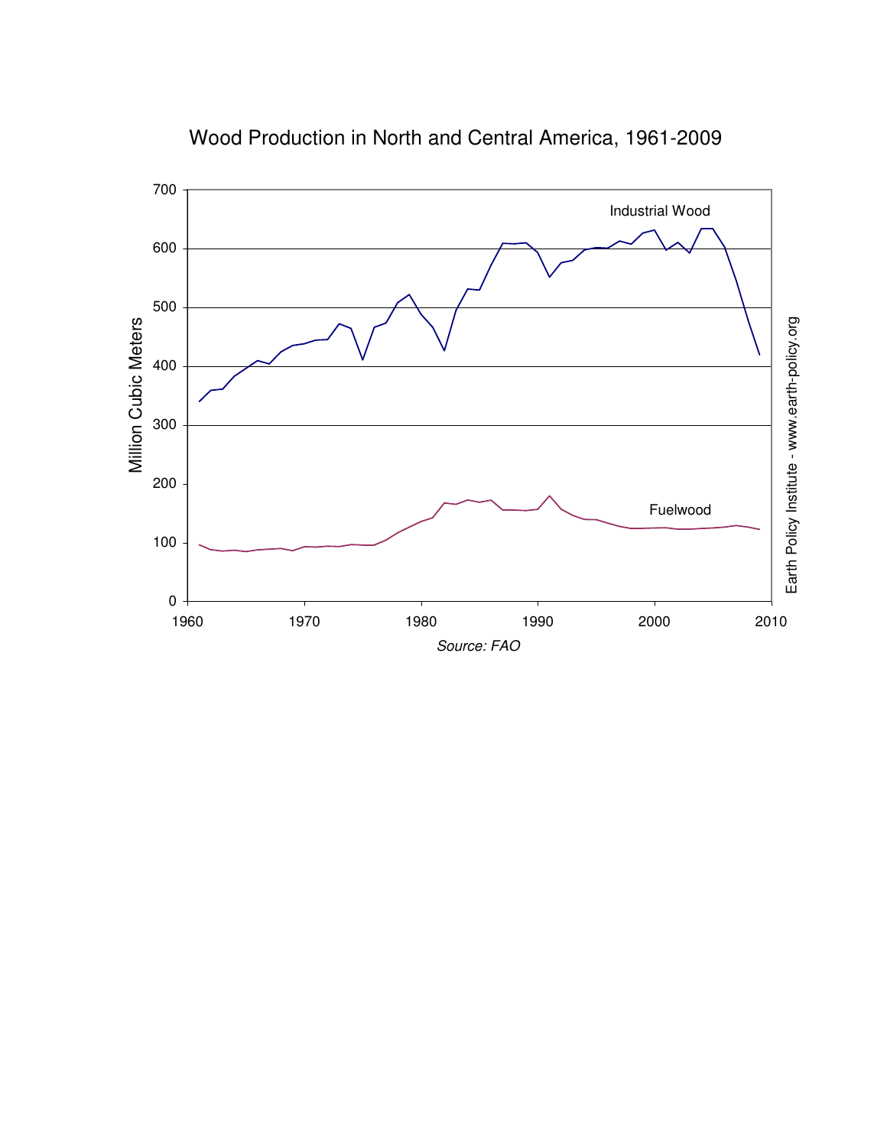

Wood Production in North and Central America, 1961-2009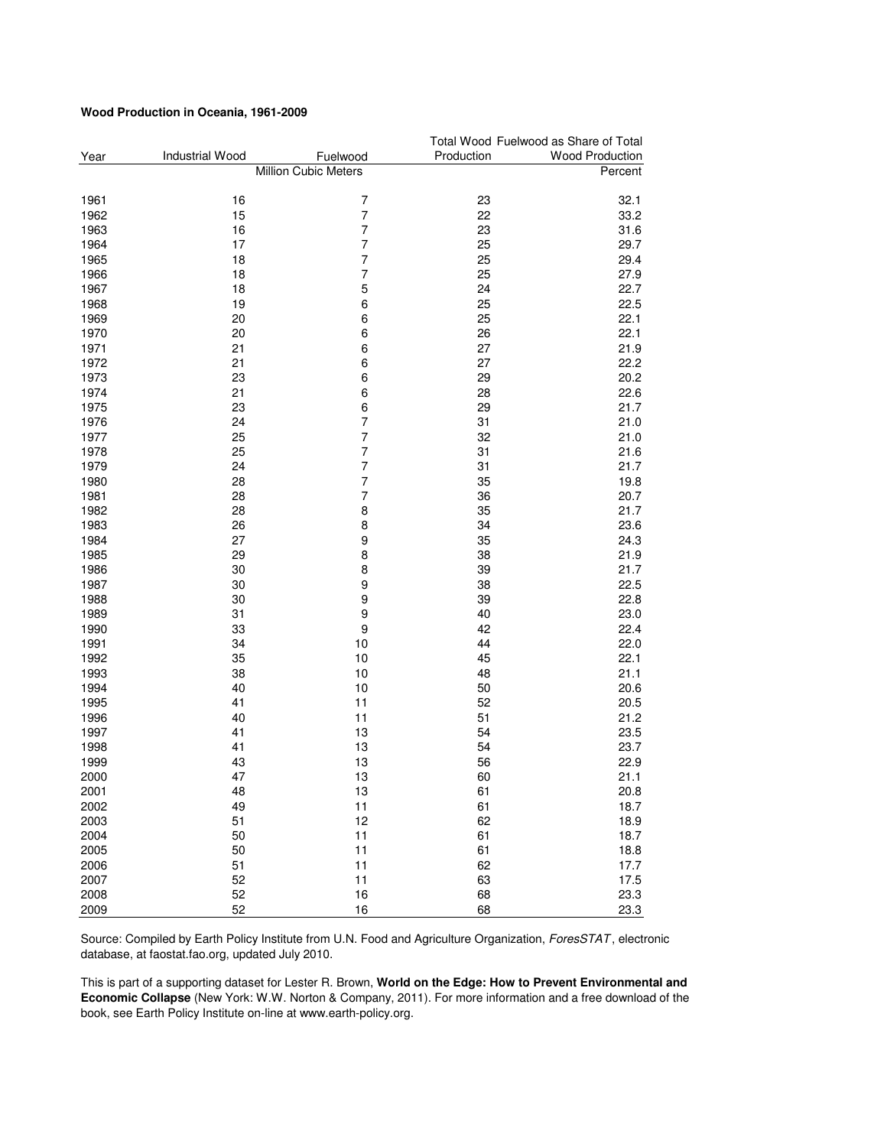#### **Wood Production in Oceania, 1961-2009**

|      |                        |                      |            | Total Wood Fuelwood as Share of Total |
|------|------------------------|----------------------|------------|---------------------------------------|
| Year | <b>Industrial Wood</b> | Fuelwood             | Production | <b>Wood Production</b>                |
|      |                        | Million Cubic Meters |            | Percent                               |
| 1961 | 16                     | $\overline{7}$       | 23         | 32.1                                  |
| 1962 | 15                     | 7                    | 22         | 33.2                                  |
| 1963 | 16                     | $\overline{7}$       | 23         | 31.6                                  |
| 1964 | 17                     | $\overline{7}$       | 25         | 29.7                                  |
| 1965 | 18                     | $\overline{7}$       | 25         | 29.4                                  |
| 1966 | 18                     | $\overline{7}$       | 25         | 27.9                                  |
| 1967 | 18                     | 5                    | 24         | 22.7                                  |
| 1968 | 19                     | 6                    | 25         | 22.5                                  |
| 1969 | 20                     | 6                    | 25         | 22.1                                  |
| 1970 | 20                     | 6                    | 26         | 22.1                                  |
|      |                        |                      | 27         | 21.9                                  |
| 1971 | 21                     | 6<br>6               | 27         |                                       |
| 1972 | 21                     |                      |            | 22.2                                  |
| 1973 | 23                     | 6                    | 29         | 20.2                                  |
| 1974 | 21                     | 6                    | 28         | 22.6                                  |
| 1975 | 23                     | 6                    | 29         | 21.7                                  |
| 1976 | 24                     | $\overline{7}$       | 31         | 21.0                                  |
| 1977 | 25                     | $\overline{7}$       | 32         | 21.0                                  |
| 1978 | 25                     | $\overline{7}$       | 31         | 21.6                                  |
| 1979 | 24                     | $\overline{7}$       | 31         | 21.7                                  |
| 1980 | 28                     | $\overline{7}$       | 35         | 19.8                                  |
| 1981 | 28                     | $\overline{7}$       | 36         | 20.7                                  |
| 1982 | 28                     | 8                    | 35         | 21.7                                  |
| 1983 | 26                     | 8                    | 34         | 23.6                                  |
| 1984 | 27                     | 9                    | 35         | 24.3                                  |
| 1985 | 29                     | 8                    | 38         | 21.9                                  |
| 1986 | 30                     | 8                    | 39         | 21.7                                  |
| 1987 | 30                     | 9                    | 38         | 22.5                                  |
| 1988 | 30                     | 9                    | 39         | 22.8                                  |
| 1989 | 31                     | 9                    | 40         | 23.0                                  |
| 1990 | 33                     | 9                    | 42         | 22.4                                  |
| 1991 | 34                     | 10                   | 44         | 22.0                                  |
| 1992 | 35                     | 10                   | 45         | 22.1                                  |
| 1993 | 38                     | 10                   | 48         | 21.1                                  |
| 1994 | 40                     | 10                   | 50         | 20.6                                  |
| 1995 | 41                     | 11                   | 52         | 20.5                                  |
| 1996 | 40                     | 11                   | 51         | 21.2                                  |
| 1997 | 41                     | 13                   | 54         | 23.5                                  |
| 1998 | 41                     | 13                   | 54         | 23.7                                  |
| 1999 | 43                     | 13                   | 56         | 22.9                                  |
| 2000 | 47                     | 13                   | 60         | 21.1                                  |
| 2001 | 48                     | 13                   | 61         | 20.8                                  |
| 2002 | 49                     | 11                   | 61         | 18.7                                  |
| 2003 | 51                     | 12                   | 62         | 18.9                                  |
| 2004 | 50                     | 11                   | 61         | 18.7                                  |
| 2005 | 50                     | 11                   | 61         | 18.8                                  |
| 2006 | 51                     | 11                   | 62         | 17.7                                  |
| 2007 | 52                     | 11                   | 63         | 17.5                                  |
| 2008 | 52                     | 16                   | 68         | 23.3                                  |
| 2009 | 52                     | 16                   | 68         | 23.3                                  |

Source: Compiled by Earth Policy Institute from U.N. Food and Agriculture Organization, ForesSTAT, electronic database, at faostat.fao.org, updated July 2010.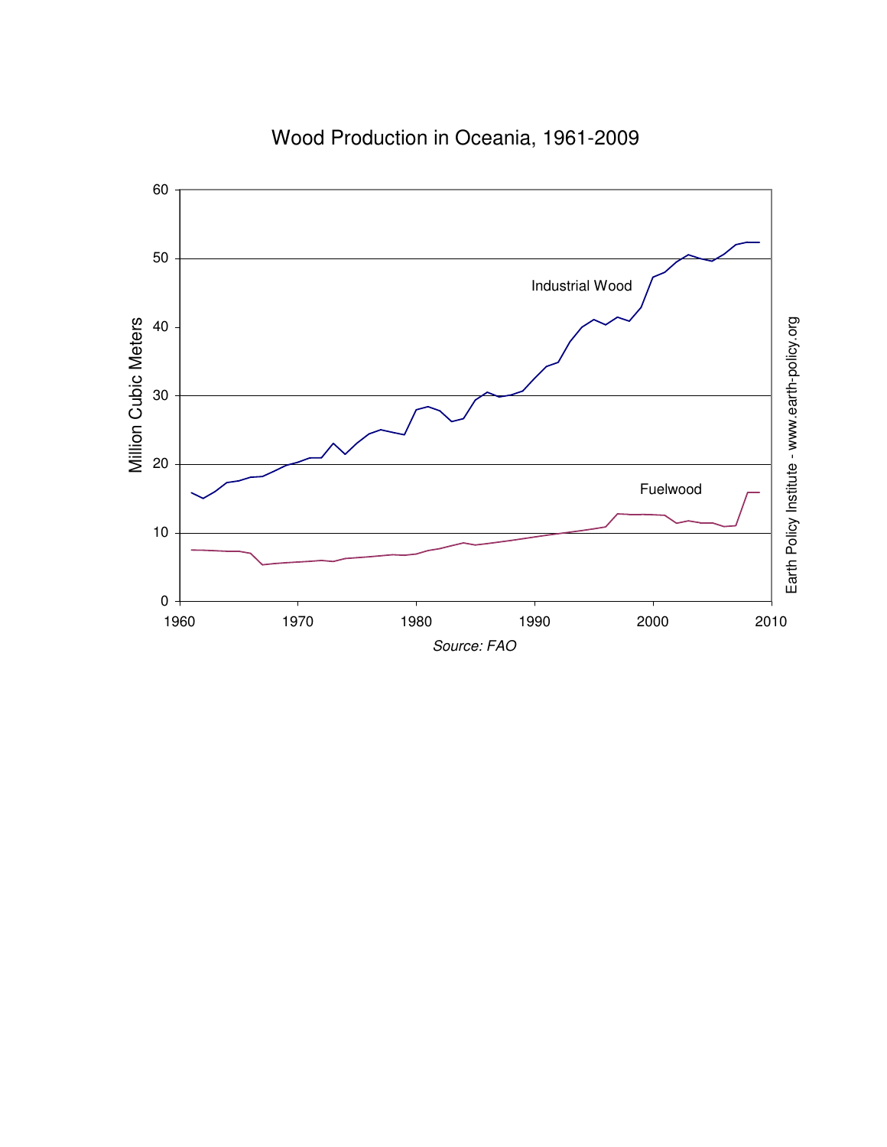

# Wood Production in Oceania, 1961-2009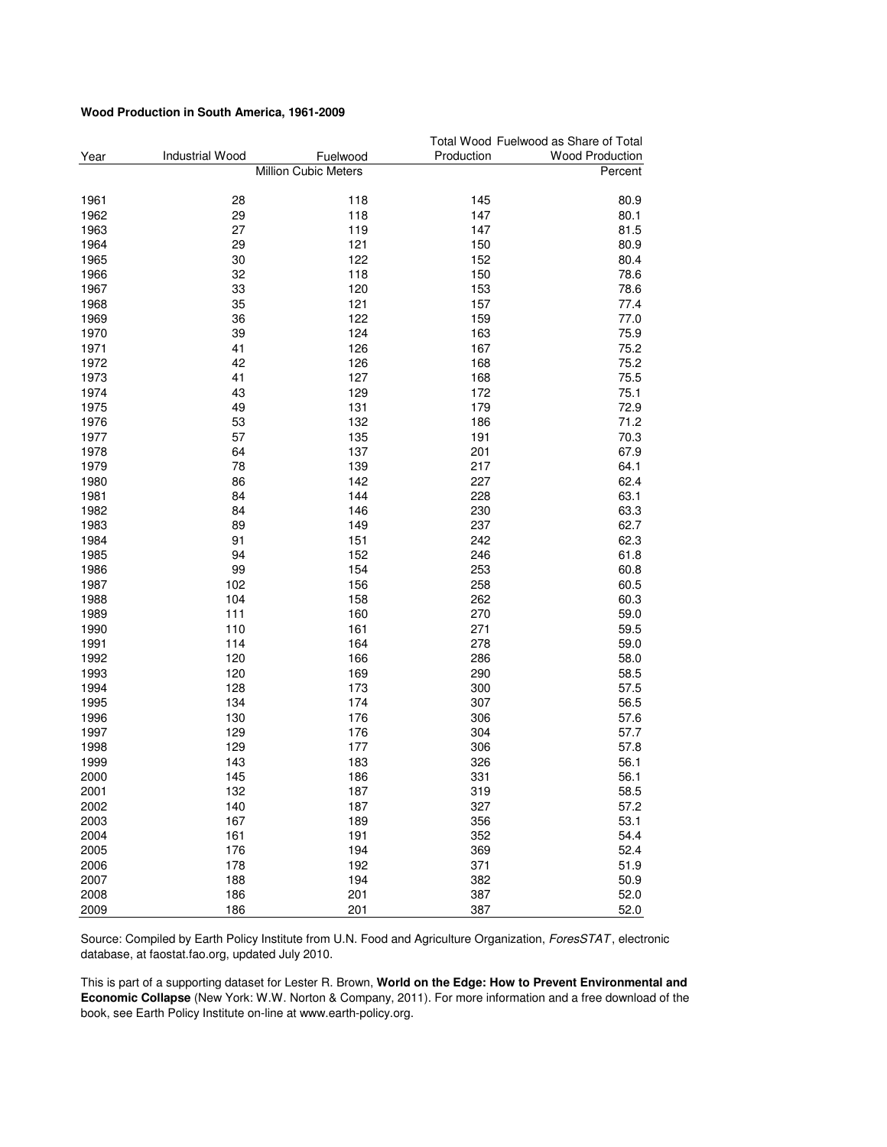#### **Wood Production in South America, 1961-2009**

|      |                        |                      |            | Total Wood Fuelwood as Share of Total |
|------|------------------------|----------------------|------------|---------------------------------------|
| Year | <b>Industrial Wood</b> | Fuelwood             | Production | <b>Wood Production</b>                |
|      |                        | Million Cubic Meters |            | Percent                               |
| 1961 | 28                     | 118                  | 145        | 80.9                                  |
| 1962 | 29                     | 118                  | 147        | 80.1                                  |
| 1963 | 27                     | 119                  | 147        | 81.5                                  |
| 1964 | 29                     | 121                  | 150        | 80.9                                  |
| 1965 | 30                     | 122                  | 152        | 80.4                                  |
| 1966 | 32                     | 118                  | 150        | 78.6                                  |
| 1967 | 33                     | 120                  | 153        | 78.6                                  |
| 1968 | 35                     | 121                  | 157        | 77.4                                  |
| 1969 | 36                     | 122                  | 159        | 77.0                                  |
| 1970 | 39                     | 124                  | 163        | 75.9                                  |
| 1971 | 41                     | 126                  | 167        | 75.2                                  |
| 1972 | 42                     | 126                  | 168        | 75.2                                  |
| 1973 | 41                     | 127                  | 168        | 75.5                                  |
| 1974 | 43                     | 129                  | 172        | 75.1                                  |
| 1975 | 49                     | 131                  | 179        | 72.9                                  |
| 1976 | 53                     | 132                  | 186        | 71.2                                  |
| 1977 | 57                     | 135                  | 191        | 70.3                                  |
| 1978 | 64                     | 137                  | 201        | 67.9                                  |
| 1979 | 78                     | 139                  | 217        | 64.1                                  |
| 1980 | 86                     | 142                  | 227        | 62.4                                  |
| 1981 | 84                     | 144                  | 228        | 63.1                                  |
| 1982 | 84                     | 146                  | 230        | 63.3                                  |
| 1983 | 89                     | 149                  | 237        | 62.7                                  |
| 1984 | 91                     | 151                  | 242        | 62.3                                  |
| 1985 | 94                     | 152                  | 246        | 61.8                                  |
| 1986 | 99                     | 154                  | 253        | 60.8                                  |
| 1987 | 102                    | 156                  | 258        | 60.5                                  |
| 1988 | 104                    | 158                  | 262        | 60.3                                  |
| 1989 | 111                    | 160                  | 270        | 59.0                                  |
| 1990 | 110                    | 161                  | 271        | 59.5                                  |
| 1991 | 114                    | 164                  | 278        | 59.0                                  |
| 1992 | 120                    | 166                  | 286        | 58.0                                  |
| 1993 | 120                    | 169                  | 290        | 58.5                                  |
| 1994 | 128                    | 173                  | 300        | 57.5                                  |
| 1995 | 134                    | 174                  | 307        | 56.5                                  |
| 1996 | 130                    | 176                  | 306        | 57.6                                  |
| 1997 | 129                    | 176                  | 304        | 57.7                                  |
| 1998 | 129                    | 177                  | 306        | 57.8                                  |
| 1999 | 143                    | 183                  | 326        | 56.1                                  |
| 2000 | 145                    | 186                  | 331        | 56.1                                  |
| 2001 | 132                    | 187                  | 319        | 58.5                                  |
| 2002 | 140                    | 187                  | 327        | 57.2                                  |
| 2003 | 167                    | 189                  | 356        | 53.1                                  |
| 2004 | 161                    | 191                  | 352        | 54.4                                  |
| 2005 | 176                    | 194                  | 369        | 52.4                                  |
| 2006 | 178                    | 192                  | 371        | 51.9                                  |
| 2007 | 188                    | 194                  | 382        | 50.9                                  |
| 2008 | 186                    | 201                  | 387        | 52.0                                  |
| 2009 | 186                    | 201                  | 387        | 52.0                                  |

Source: Compiled by Earth Policy Institute from U.N. Food and Agriculture Organization, ForesSTAT, electronic database, at faostat.fao.org, updated July 2010.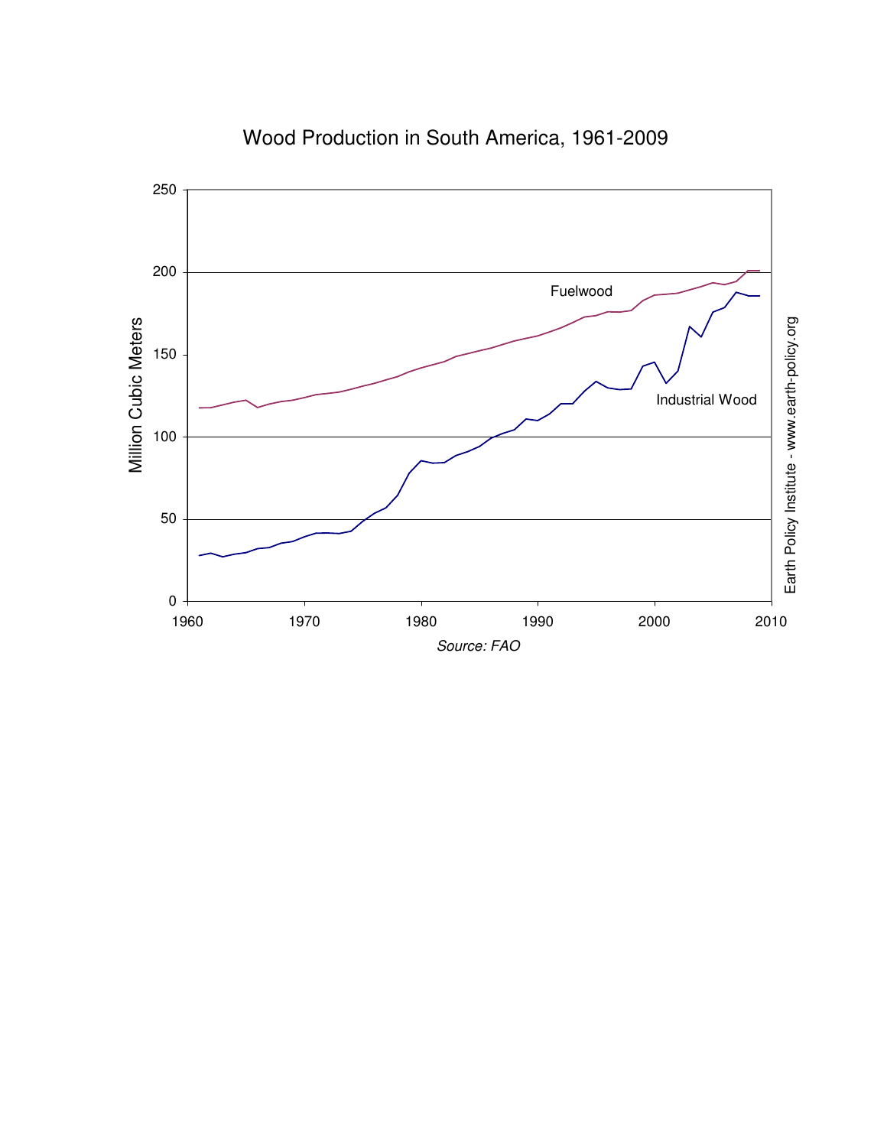

Wood Production in South America, 1961-2009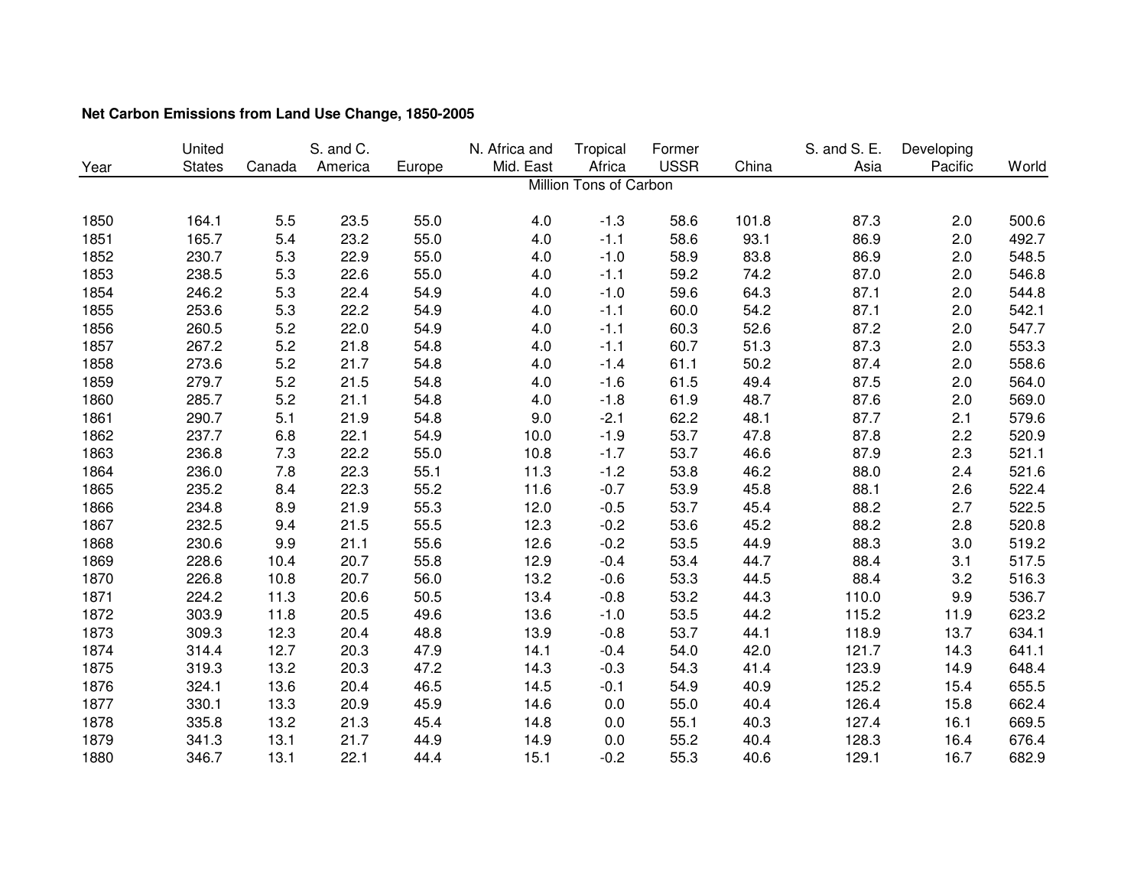|      | United        |        | S. and C. |        | N. Africa and | Tropical               | Former      |       | S. and S. E. | Developing |       |
|------|---------------|--------|-----------|--------|---------------|------------------------|-------------|-------|--------------|------------|-------|
| Year | <b>States</b> | Canada | America   | Europe | Mid. East     | Africa                 | <b>USSR</b> | China | Asia         | Pacific    | World |
|      |               |        |           |        |               | Million Tons of Carbon |             |       |              |            |       |
|      |               |        |           |        |               |                        |             |       |              |            |       |
| 1850 | 164.1         | 5.5    | 23.5      | 55.0   | 4.0           | $-1.3$                 | 58.6        | 101.8 | 87.3         | 2.0        | 500.6 |
| 1851 | 165.7         | 5.4    | 23.2      | 55.0   | 4.0           | $-1.1$                 | 58.6        | 93.1  | 86.9         | 2.0        | 492.7 |
| 1852 | 230.7         | 5.3    | 22.9      | 55.0   | 4.0           | $-1.0$                 | 58.9        | 83.8  | 86.9         | 2.0        | 548.5 |
| 1853 | 238.5         | 5.3    | 22.6      | 55.0   | 4.0           | $-1.1$                 | 59.2        | 74.2  | 87.0         | 2.0        | 546.8 |
| 1854 | 246.2         | 5.3    | 22.4      | 54.9   | 4.0           | $-1.0$                 | 59.6        | 64.3  | 87.1         | 2.0        | 544.8 |
| 1855 | 253.6         | 5.3    | 22.2      | 54.9   | 4.0           | $-1.1$                 | 60.0        | 54.2  | 87.1         | 2.0        | 542.1 |
| 1856 | 260.5         | 5.2    | 22.0      | 54.9   | 4.0           | $-1.1$                 | 60.3        | 52.6  | 87.2         | 2.0        | 547.7 |
| 1857 | 267.2         | 5.2    | 21.8      | 54.8   | 4.0           | $-1.1$                 | 60.7        | 51.3  | 87.3         | 2.0        | 553.3 |
| 1858 | 273.6         | 5.2    | 21.7      | 54.8   | 4.0           | $-1.4$                 | 61.1        | 50.2  | 87.4         | 2.0        | 558.6 |
| 1859 | 279.7         | 5.2    | 21.5      | 54.8   | 4.0           | $-1.6$                 | 61.5        | 49.4  | 87.5         | 2.0        | 564.0 |
| 1860 | 285.7         | 5.2    | 21.1      | 54.8   | 4.0           | $-1.8$                 | 61.9        | 48.7  | 87.6         | 2.0        | 569.0 |
| 1861 | 290.7         | 5.1    | 21.9      | 54.8   | 9.0           | $-2.1$                 | 62.2        | 48.1  | 87.7         | 2.1        | 579.6 |
| 1862 | 237.7         | 6.8    | 22.1      | 54.9   | 10.0          | $-1.9$                 | 53.7        | 47.8  | 87.8         | 2.2        | 520.9 |
| 1863 | 236.8         | 7.3    | 22.2      | 55.0   | 10.8          | $-1.7$                 | 53.7        | 46.6  | 87.9         | 2.3        | 521.1 |
| 1864 | 236.0         | 7.8    | 22.3      | 55.1   | 11.3          | $-1.2$                 | 53.8        | 46.2  | 88.0         | 2.4        | 521.6 |
| 1865 | 235.2         | 8.4    | 22.3      | 55.2   | 11.6          | $-0.7$                 | 53.9        | 45.8  | 88.1         | 2.6        | 522.4 |
| 1866 | 234.8         | 8.9    | 21.9      | 55.3   | 12.0          | $-0.5$                 | 53.7        | 45.4  | 88.2         | 2.7        | 522.5 |
| 1867 | 232.5         | 9.4    | 21.5      | 55.5   | 12.3          | $-0.2$                 | 53.6        | 45.2  | 88.2         | 2.8        | 520.8 |
| 1868 | 230.6         | 9.9    | 21.1      | 55.6   | 12.6          | $-0.2$                 | 53.5        | 44.9  | 88.3         | 3.0        | 519.2 |
| 1869 | 228.6         | 10.4   | 20.7      | 55.8   | 12.9          | $-0.4$                 | 53.4        | 44.7  | 88.4         | 3.1        | 517.5 |
| 1870 | 226.8         | 10.8   | 20.7      | 56.0   | 13.2          | $-0.6$                 | 53.3        | 44.5  | 88.4         | 3.2        | 516.3 |
| 1871 | 224.2         | 11.3   | 20.6      | 50.5   | 13.4          | $-0.8$                 | 53.2        | 44.3  | 110.0        | 9.9        | 536.7 |
| 1872 | 303.9         | 11.8   | 20.5      | 49.6   | 13.6          | $-1.0$                 | 53.5        | 44.2  | 115.2        | 11.9       | 623.2 |
| 1873 | 309.3         | 12.3   | 20.4      | 48.8   | 13.9          | $-0.8$                 | 53.7        | 44.1  | 118.9        | 13.7       | 634.1 |
| 1874 | 314.4         | 12.7   | 20.3      | 47.9   | 14.1          | $-0.4$                 | 54.0        | 42.0  | 121.7        | 14.3       | 641.1 |
| 1875 | 319.3         | 13.2   | 20.3      | 47.2   | 14.3          | $-0.3$                 | 54.3        | 41.4  | 123.9        | 14.9       | 648.4 |
| 1876 | 324.1         | 13.6   | 20.4      | 46.5   | 14.5          | $-0.1$                 | 54.9        | 40.9  | 125.2        | 15.4       | 655.5 |
| 1877 | 330.1         | 13.3   | 20.9      | 45.9   | 14.6          | 0.0                    | 55.0        | 40.4  | 126.4        | 15.8       | 662.4 |
| 1878 | 335.8         | 13.2   | 21.3      | 45.4   | 14.8          | 0.0                    | 55.1        | 40.3  | 127.4        | 16.1       | 669.5 |
| 1879 | 341.3         | 13.1   | 21.7      | 44.9   | 14.9          | 0.0                    | 55.2        | 40.4  | 128.3        | 16.4       | 676.4 |
| 1880 | 346.7         | 13.1   | 22.1      | 44.4   | 15.1          | $-0.2$                 | 55.3        | 40.6  | 129.1        | 16.7       | 682.9 |

# **Net Carbon Emissions from Land Use Change, 1850-2005**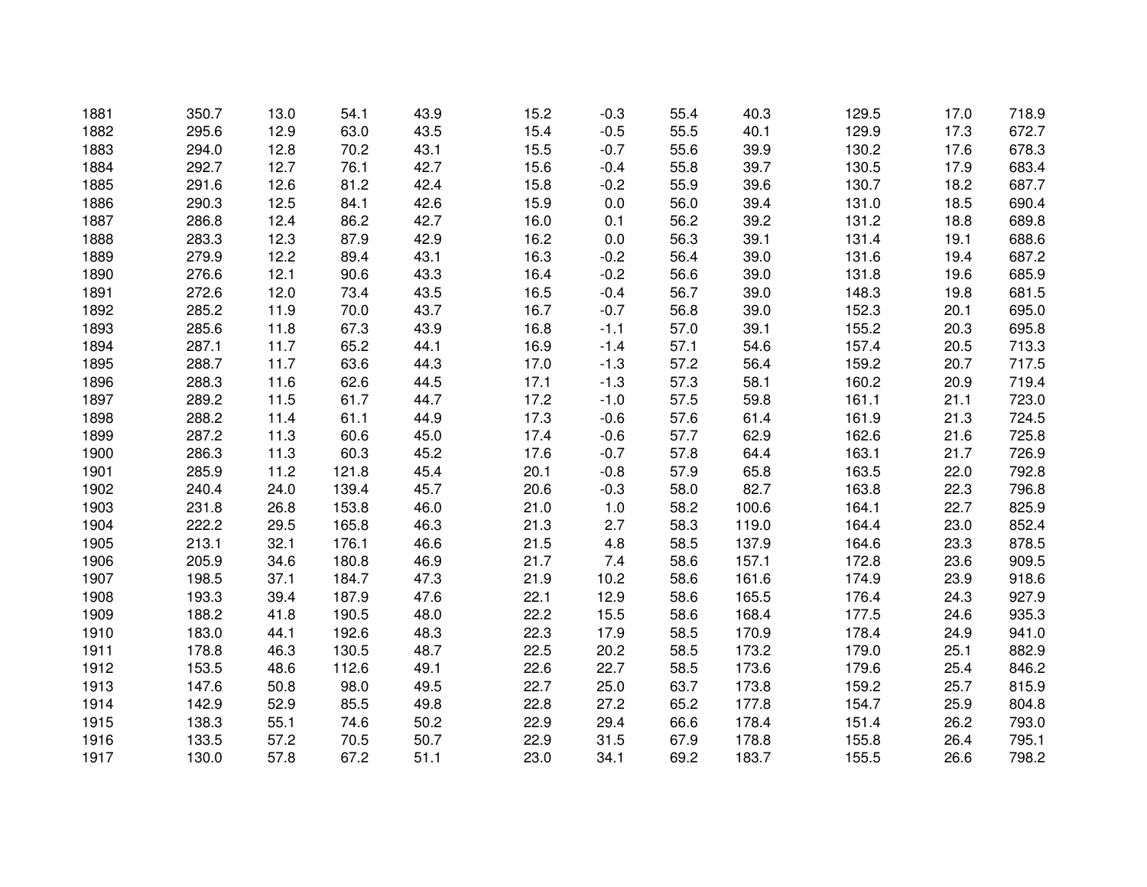| 1881 | 350.7 | 13.0 | 54.1  | 43.9 | 15.2 | $-0.3$ | 55.4 | 40.3  | 129.5 | 17.0 | 718.9 |
|------|-------|------|-------|------|------|--------|------|-------|-------|------|-------|
| 1882 | 295.6 | 12.9 | 63.0  | 43.5 | 15.4 | $-0.5$ | 55.5 | 40.1  | 129.9 | 17.3 | 672.7 |
| 1883 | 294.0 | 12.8 | 70.2  | 43.1 | 15.5 | $-0.7$ | 55.6 | 39.9  | 130.2 | 17.6 | 678.3 |
| 1884 | 292.7 | 12.7 | 76.1  | 42.7 | 15.6 | $-0.4$ | 55.8 | 39.7  | 130.5 | 17.9 | 683.4 |
| 1885 | 291.6 | 12.6 | 81.2  | 42.4 | 15.8 | $-0.2$ | 55.9 | 39.6  | 130.7 | 18.2 | 687.7 |
| 1886 | 290.3 | 12.5 | 84.1  | 42.6 | 15.9 | 0.0    | 56.0 | 39.4  | 131.0 | 18.5 | 690.4 |
| 1887 | 286.8 | 12.4 | 86.2  | 42.7 | 16.0 | 0.1    | 56.2 | 39.2  | 131.2 | 18.8 | 689.8 |
| 1888 | 283.3 | 12.3 | 87.9  | 42.9 | 16.2 | 0.0    | 56.3 | 39.1  | 131.4 | 19.1 | 688.6 |
| 1889 | 279.9 | 12.2 | 89.4  | 43.1 | 16.3 | $-0.2$ | 56.4 | 39.0  | 131.6 | 19.4 | 687.2 |
| 1890 | 276.6 | 12.1 | 90.6  | 43.3 | 16.4 | $-0.2$ | 56.6 | 39.0  | 131.8 | 19.6 | 685.9 |
| 1891 | 272.6 | 12.0 | 73.4  | 43.5 | 16.5 | $-0.4$ | 56.7 | 39.0  | 148.3 | 19.8 | 681.5 |
| 1892 | 285.2 | 11.9 | 70.0  | 43.7 | 16.7 | $-0.7$ | 56.8 | 39.0  | 152.3 | 20.1 | 695.0 |
| 1893 | 285.6 | 11.8 | 67.3  | 43.9 | 16.8 | $-1.1$ | 57.0 | 39.1  | 155.2 | 20.3 | 695.8 |
| 1894 | 287.1 | 11.7 | 65.2  | 44.1 | 16.9 | $-1.4$ | 57.1 | 54.6  | 157.4 | 20.5 | 713.3 |
| 1895 | 288.7 | 11.7 | 63.6  | 44.3 | 17.0 | $-1.3$ | 57.2 | 56.4  | 159.2 | 20.7 | 717.5 |
| 1896 | 288.3 | 11.6 | 62.6  | 44.5 | 17.1 | $-1.3$ | 57.3 | 58.1  | 160.2 | 20.9 | 719.4 |
| 1897 | 289.2 | 11.5 | 61.7  | 44.7 | 17.2 | $-1.0$ | 57.5 | 59.8  | 161.1 | 21.1 | 723.0 |
| 1898 | 288.2 | 11.4 | 61.1  | 44.9 | 17.3 | $-0.6$ | 57.6 | 61.4  | 161.9 | 21.3 | 724.5 |
| 1899 | 287.2 | 11.3 | 60.6  | 45.0 | 17.4 | $-0.6$ | 57.7 | 62.9  | 162.6 | 21.6 | 725.8 |
| 1900 | 286.3 | 11.3 | 60.3  | 45.2 | 17.6 | $-0.7$ | 57.8 | 64.4  | 163.1 | 21.7 | 726.9 |
| 1901 | 285.9 | 11.2 | 121.8 | 45.4 | 20.1 | $-0.8$ | 57.9 | 65.8  | 163.5 | 22.0 | 792.8 |
| 1902 | 240.4 | 24.0 | 139.4 | 45.7 | 20.6 | $-0.3$ | 58.0 | 82.7  | 163.8 | 22.3 | 796.8 |
| 1903 | 231.8 | 26.8 | 153.8 | 46.0 | 21.0 | 1.0    | 58.2 | 100.6 | 164.1 | 22.7 | 825.9 |
| 1904 | 222.2 | 29.5 | 165.8 | 46.3 | 21.3 | 2.7    | 58.3 | 119.0 | 164.4 | 23.0 | 852.4 |
| 1905 | 213.1 | 32.1 | 176.1 | 46.6 | 21.5 | 4.8    | 58.5 | 137.9 | 164.6 | 23.3 | 878.5 |
| 1906 | 205.9 | 34.6 | 180.8 | 46.9 | 21.7 | 7.4    | 58.6 | 157.1 | 172.8 | 23.6 | 909.5 |
| 1907 | 198.5 | 37.1 | 184.7 | 47.3 | 21.9 | 10.2   | 58.6 | 161.6 | 174.9 | 23.9 | 918.6 |
| 1908 | 193.3 | 39.4 | 187.9 | 47.6 | 22.1 | 12.9   | 58.6 | 165.5 | 176.4 | 24.3 | 927.9 |
| 1909 | 188.2 | 41.8 | 190.5 | 48.0 | 22.2 | 15.5   | 58.6 | 168.4 | 177.5 | 24.6 | 935.3 |
| 1910 | 183.0 | 44.1 | 192.6 | 48.3 | 22.3 | 17.9   | 58.5 | 170.9 | 178.4 | 24.9 | 941.0 |
| 1911 | 178.8 | 46.3 | 130.5 | 48.7 | 22.5 | 20.2   | 58.5 | 173.2 | 179.0 | 25.1 | 882.9 |
| 1912 | 153.5 | 48.6 | 112.6 | 49.1 | 22.6 | 22.7   | 58.5 | 173.6 | 179.6 | 25.4 | 846.2 |
| 1913 | 147.6 | 50.8 | 98.0  | 49.5 | 22.7 | 25.0   | 63.7 | 173.8 | 159.2 | 25.7 | 815.9 |
| 1914 | 142.9 | 52.9 | 85.5  | 49.8 | 22.8 | 27.2   | 65.2 | 177.8 | 154.7 | 25.9 | 804.8 |
| 1915 | 138.3 | 55.1 | 74.6  | 50.2 | 22.9 | 29.4   | 66.6 | 178.4 | 151.4 | 26.2 | 793.0 |
| 1916 | 133.5 | 57.2 | 70.5  | 50.7 | 22.9 | 31.5   | 67.9 | 178.8 | 155.8 | 26.4 | 795.1 |
| 1917 | 130.0 | 57.8 | 67.2  | 51.1 | 23.0 | 34.1   | 69.2 | 183.7 | 155.5 | 26.6 | 798.2 |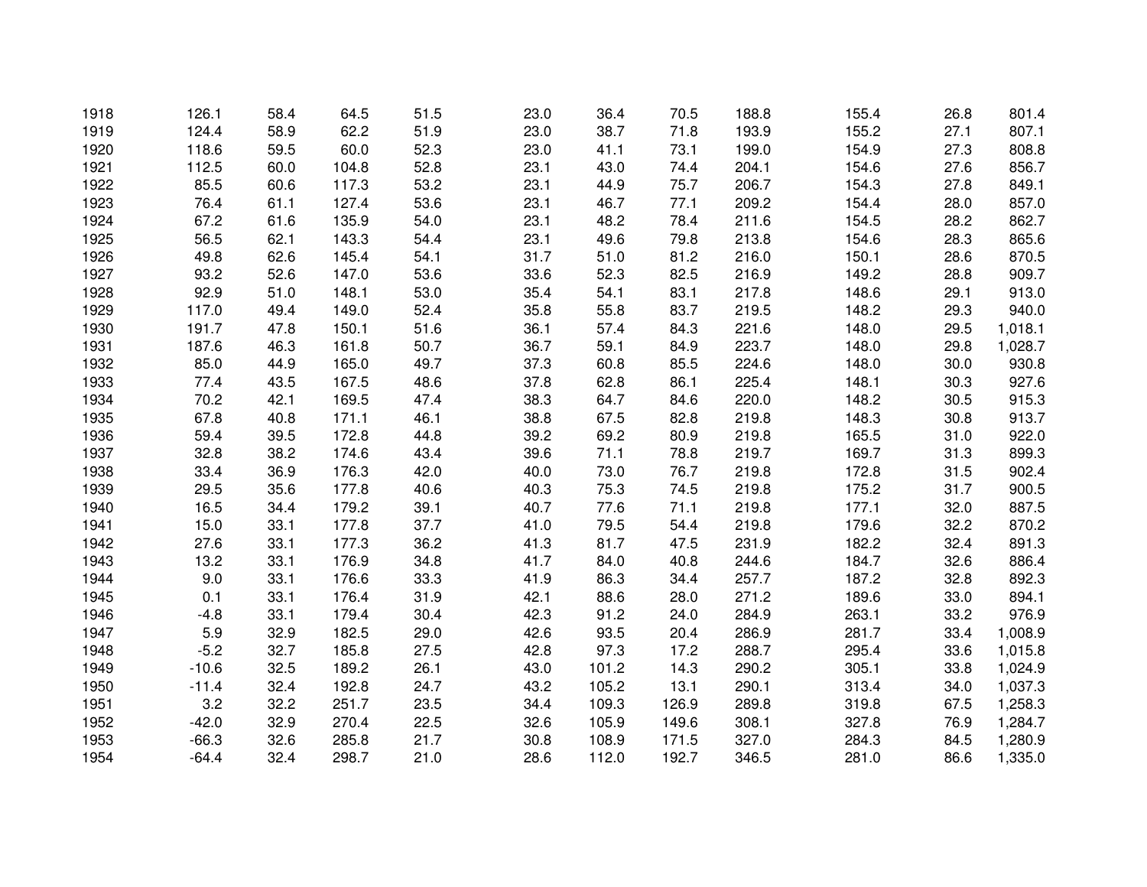| 1918 | 126.1   | 58.4 | 64.5  | 51.5 | 23.0 | 36.4  | 70.5  | 188.8 | 155.4 | 26.8 | 801.4   |
|------|---------|------|-------|------|------|-------|-------|-------|-------|------|---------|
| 1919 | 124.4   | 58.9 | 62.2  | 51.9 | 23.0 | 38.7  | 71.8  | 193.9 | 155.2 | 27.1 | 807.1   |
| 1920 | 118.6   | 59.5 | 60.0  | 52.3 | 23.0 | 41.1  | 73.1  | 199.0 | 154.9 | 27.3 | 808.8   |
| 1921 | 112.5   | 60.0 | 104.8 | 52.8 | 23.1 | 43.0  | 74.4  | 204.1 | 154.6 | 27.6 | 856.7   |
| 1922 | 85.5    | 60.6 | 117.3 | 53.2 | 23.1 | 44.9  | 75.7  | 206.7 | 154.3 | 27.8 | 849.1   |
| 1923 | 76.4    | 61.1 | 127.4 | 53.6 | 23.1 | 46.7  | 77.1  | 209.2 | 154.4 | 28.0 | 857.0   |
| 1924 | 67.2    | 61.6 | 135.9 | 54.0 | 23.1 | 48.2  | 78.4  | 211.6 | 154.5 | 28.2 | 862.7   |
| 1925 | 56.5    | 62.1 | 143.3 | 54.4 | 23.1 | 49.6  | 79.8  | 213.8 | 154.6 | 28.3 | 865.6   |
| 1926 | 49.8    | 62.6 | 145.4 | 54.1 | 31.7 | 51.0  | 81.2  | 216.0 | 150.1 | 28.6 | 870.5   |
| 1927 | 93.2    | 52.6 | 147.0 | 53.6 | 33.6 | 52.3  | 82.5  | 216.9 | 149.2 | 28.8 | 909.7   |
| 1928 | 92.9    | 51.0 | 148.1 | 53.0 | 35.4 | 54.1  | 83.1  | 217.8 | 148.6 | 29.1 | 913.0   |
| 1929 | 117.0   | 49.4 | 149.0 | 52.4 | 35.8 | 55.8  | 83.7  | 219.5 | 148.2 | 29.3 | 940.0   |
| 1930 | 191.7   | 47.8 | 150.1 | 51.6 | 36.1 | 57.4  | 84.3  | 221.6 | 148.0 | 29.5 | 1,018.1 |
| 1931 | 187.6   | 46.3 | 161.8 | 50.7 | 36.7 | 59.1  | 84.9  | 223.7 | 148.0 | 29.8 | 1,028.7 |
| 1932 | 85.0    | 44.9 | 165.0 | 49.7 | 37.3 | 60.8  | 85.5  | 224.6 | 148.0 | 30.0 | 930.8   |
| 1933 | 77.4    | 43.5 | 167.5 | 48.6 | 37.8 | 62.8  | 86.1  | 225.4 | 148.1 | 30.3 | 927.6   |
| 1934 | 70.2    | 42.1 | 169.5 | 47.4 | 38.3 | 64.7  | 84.6  | 220.0 | 148.2 | 30.5 | 915.3   |
| 1935 | 67.8    | 40.8 | 171.1 | 46.1 | 38.8 | 67.5  | 82.8  | 219.8 | 148.3 | 30.8 | 913.7   |
| 1936 | 59.4    | 39.5 | 172.8 | 44.8 | 39.2 | 69.2  | 80.9  | 219.8 | 165.5 | 31.0 | 922.0   |
| 1937 | 32.8    | 38.2 | 174.6 | 43.4 | 39.6 | 71.1  | 78.8  | 219.7 | 169.7 | 31.3 | 899.3   |
| 1938 | 33.4    | 36.9 | 176.3 | 42.0 | 40.0 | 73.0  | 76.7  | 219.8 | 172.8 | 31.5 | 902.4   |
| 1939 | 29.5    | 35.6 | 177.8 | 40.6 | 40.3 | 75.3  | 74.5  | 219.8 | 175.2 | 31.7 | 900.5   |
| 1940 | 16.5    | 34.4 | 179.2 | 39.1 | 40.7 | 77.6  | 71.1  | 219.8 | 177.1 | 32.0 | 887.5   |
| 1941 | 15.0    | 33.1 | 177.8 | 37.7 | 41.0 | 79.5  | 54.4  | 219.8 | 179.6 | 32.2 | 870.2   |
| 1942 | 27.6    | 33.1 | 177.3 | 36.2 | 41.3 | 81.7  | 47.5  | 231.9 | 182.2 | 32.4 | 891.3   |
| 1943 | 13.2    | 33.1 | 176.9 | 34.8 | 41.7 | 84.0  | 40.8  | 244.6 | 184.7 | 32.6 | 886.4   |
| 1944 | 9.0     | 33.1 | 176.6 | 33.3 | 41.9 | 86.3  | 34.4  | 257.7 | 187.2 | 32.8 | 892.3   |
| 1945 | 0.1     | 33.1 | 176.4 | 31.9 | 42.1 | 88.6  | 28.0  | 271.2 | 189.6 | 33.0 | 894.1   |
| 1946 | $-4.8$  | 33.1 | 179.4 | 30.4 | 42.3 | 91.2  | 24.0  | 284.9 | 263.1 | 33.2 | 976.9   |
| 1947 | 5.9     | 32.9 | 182.5 | 29.0 | 42.6 | 93.5  | 20.4  | 286.9 | 281.7 | 33.4 | 1,008.9 |
| 1948 | $-5.2$  | 32.7 | 185.8 | 27.5 | 42.8 | 97.3  | 17.2  | 288.7 | 295.4 | 33.6 | 1,015.8 |
| 1949 | $-10.6$ | 32.5 | 189.2 | 26.1 | 43.0 | 101.2 | 14.3  | 290.2 | 305.1 | 33.8 | 1,024.9 |
| 1950 | $-11.4$ | 32.4 | 192.8 | 24.7 | 43.2 | 105.2 | 13.1  | 290.1 | 313.4 | 34.0 | 1,037.3 |
| 1951 | 3.2     | 32.2 | 251.7 | 23.5 | 34.4 | 109.3 | 126.9 | 289.8 | 319.8 | 67.5 | 1,258.3 |
| 1952 | $-42.0$ | 32.9 | 270.4 | 22.5 | 32.6 | 105.9 | 149.6 | 308.1 | 327.8 | 76.9 | 1,284.7 |
| 1953 | $-66.3$ | 32.6 | 285.8 | 21.7 | 30.8 | 108.9 | 171.5 | 327.0 | 284.3 | 84.5 | 1,280.9 |
| 1954 | $-64.4$ | 32.4 | 298.7 | 21.0 | 28.6 | 112.0 | 192.7 | 346.5 | 281.0 | 86.6 | 1,335.0 |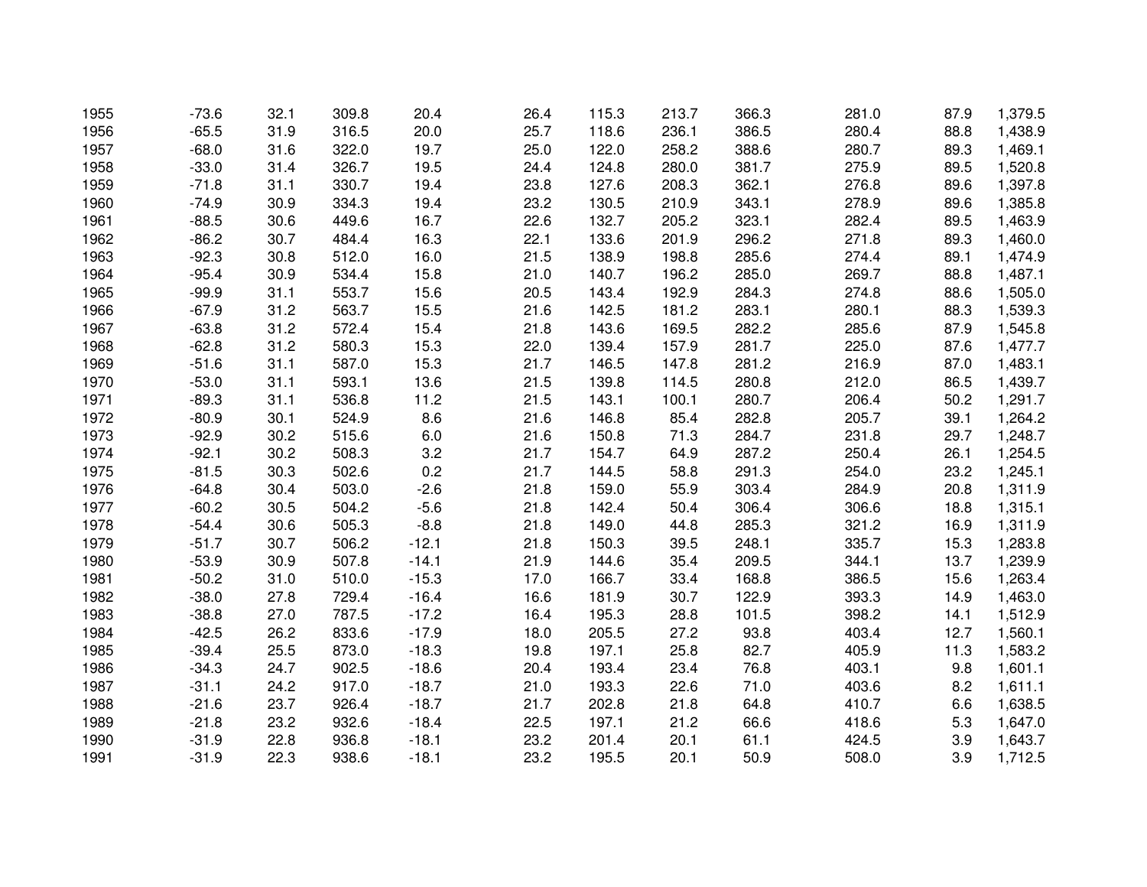| 1955 | $-73.6$ | 32.1 | 309.8 | 20.4    | 26.4 | 115.3 | 213.7 | 366.3 | 281.0 | 87.9 | 1,379.5 |
|------|---------|------|-------|---------|------|-------|-------|-------|-------|------|---------|
| 1956 | $-65.5$ | 31.9 | 316.5 | 20.0    | 25.7 | 118.6 | 236.1 | 386.5 | 280.4 | 88.8 | 1,438.9 |
| 1957 | $-68.0$ | 31.6 | 322.0 | 19.7    | 25.0 | 122.0 | 258.2 | 388.6 | 280.7 | 89.3 | 1,469.1 |
| 1958 | $-33.0$ | 31.4 | 326.7 | 19.5    | 24.4 | 124.8 | 280.0 | 381.7 | 275.9 | 89.5 | 1,520.8 |
| 1959 | $-71.8$ | 31.1 | 330.7 | 19.4    | 23.8 | 127.6 | 208.3 | 362.1 | 276.8 | 89.6 | 1,397.8 |
| 1960 | $-74.9$ | 30.9 | 334.3 | 19.4    | 23.2 | 130.5 | 210.9 | 343.1 | 278.9 | 89.6 | 1,385.8 |
| 1961 | $-88.5$ | 30.6 | 449.6 | 16.7    | 22.6 | 132.7 | 205.2 | 323.1 | 282.4 | 89.5 | 1,463.9 |
| 1962 | $-86.2$ | 30.7 | 484.4 | 16.3    | 22.1 | 133.6 | 201.9 | 296.2 | 271.8 | 89.3 | 1,460.0 |
| 1963 | $-92.3$ | 30.8 | 512.0 | 16.0    | 21.5 | 138.9 | 198.8 | 285.6 | 274.4 | 89.1 | 1,474.9 |
| 1964 | $-95.4$ | 30.9 | 534.4 | 15.8    | 21.0 | 140.7 | 196.2 | 285.0 | 269.7 | 88.8 | 1,487.1 |
| 1965 | $-99.9$ | 31.1 | 553.7 | 15.6    | 20.5 | 143.4 | 192.9 | 284.3 | 274.8 | 88.6 | 1,505.0 |
| 1966 | $-67.9$ | 31.2 | 563.7 | 15.5    | 21.6 | 142.5 | 181.2 | 283.1 | 280.1 | 88.3 | 1,539.3 |
| 1967 | $-63.8$ | 31.2 | 572.4 | 15.4    | 21.8 | 143.6 | 169.5 | 282.2 | 285.6 | 87.9 | 1,545.8 |
| 1968 | $-62.8$ | 31.2 | 580.3 | 15.3    | 22.0 | 139.4 | 157.9 | 281.7 | 225.0 | 87.6 | 1,477.7 |
| 1969 | $-51.6$ | 31.1 | 587.0 | 15.3    | 21.7 | 146.5 | 147.8 | 281.2 | 216.9 | 87.0 | 1,483.1 |
| 1970 | $-53.0$ | 31.1 | 593.1 | 13.6    | 21.5 | 139.8 | 114.5 | 280.8 | 212.0 | 86.5 | 1,439.7 |
| 1971 | $-89.3$ | 31.1 | 536.8 | 11.2    | 21.5 | 143.1 | 100.1 | 280.7 | 206.4 | 50.2 | 1,291.7 |
| 1972 | $-80.9$ | 30.1 | 524.9 | 8.6     | 21.6 | 146.8 | 85.4  | 282.8 | 205.7 | 39.1 | 1,264.2 |
| 1973 | $-92.9$ | 30.2 | 515.6 | 6.0     | 21.6 | 150.8 | 71.3  | 284.7 | 231.8 | 29.7 | 1,248.7 |
| 1974 | $-92.1$ | 30.2 | 508.3 | 3.2     | 21.7 | 154.7 | 64.9  | 287.2 | 250.4 | 26.1 | 1,254.5 |
| 1975 | $-81.5$ | 30.3 | 502.6 | 0.2     | 21.7 | 144.5 | 58.8  | 291.3 | 254.0 | 23.2 | 1,245.1 |
| 1976 | $-64.8$ | 30.4 | 503.0 | $-2.6$  | 21.8 | 159.0 | 55.9  | 303.4 | 284.9 | 20.8 | 1,311.9 |
| 1977 | $-60.2$ | 30.5 | 504.2 | $-5.6$  | 21.8 | 142.4 | 50.4  | 306.4 | 306.6 | 18.8 | 1,315.1 |
| 1978 | $-54.4$ | 30.6 | 505.3 | $-8.8$  | 21.8 | 149.0 | 44.8  | 285.3 | 321.2 | 16.9 | 1,311.9 |
| 1979 | $-51.7$ | 30.7 | 506.2 | $-12.1$ | 21.8 | 150.3 | 39.5  | 248.1 | 335.7 | 15.3 | 1,283.8 |
| 1980 | $-53.9$ | 30.9 | 507.8 | $-14.1$ | 21.9 | 144.6 | 35.4  | 209.5 | 344.1 | 13.7 | 1,239.9 |
| 1981 | $-50.2$ | 31.0 | 510.0 | $-15.3$ | 17.0 | 166.7 | 33.4  | 168.8 | 386.5 | 15.6 | 1,263.4 |
| 1982 | $-38.0$ | 27.8 | 729.4 | $-16.4$ | 16.6 | 181.9 | 30.7  | 122.9 | 393.3 | 14.9 | 1,463.0 |
| 1983 | $-38.8$ | 27.0 | 787.5 | $-17.2$ | 16.4 | 195.3 | 28.8  | 101.5 | 398.2 | 14.1 | 1,512.9 |
| 1984 | $-42.5$ | 26.2 | 833.6 | $-17.9$ | 18.0 | 205.5 | 27.2  | 93.8  | 403.4 | 12.7 | 1,560.1 |
| 1985 | $-39.4$ | 25.5 | 873.0 | $-18.3$ | 19.8 | 197.1 | 25.8  | 82.7  | 405.9 | 11.3 | 1,583.2 |
| 1986 | $-34.3$ | 24.7 | 902.5 | $-18.6$ | 20.4 | 193.4 | 23.4  | 76.8  | 403.1 | 9.8  | 1,601.1 |
| 1987 | $-31.1$ | 24.2 | 917.0 | $-18.7$ | 21.0 | 193.3 | 22.6  | 71.0  | 403.6 | 8.2  | 1,611.1 |
| 1988 | $-21.6$ | 23.7 | 926.4 | $-18.7$ | 21.7 | 202.8 | 21.8  | 64.8  | 410.7 | 6.6  | 1,638.5 |
| 1989 | $-21.8$ | 23.2 | 932.6 | $-18.4$ | 22.5 | 197.1 | 21.2  | 66.6  | 418.6 | 5.3  | 1,647.0 |
| 1990 | $-31.9$ | 22.8 | 936.8 | $-18.1$ | 23.2 | 201.4 | 20.1  | 61.1  | 424.5 | 3.9  | 1,643.7 |
| 1991 | $-31.9$ | 22.3 | 938.6 | $-18.1$ | 23.2 | 195.5 | 20.1  | 50.9  | 508.0 | 3.9  | 1,712.5 |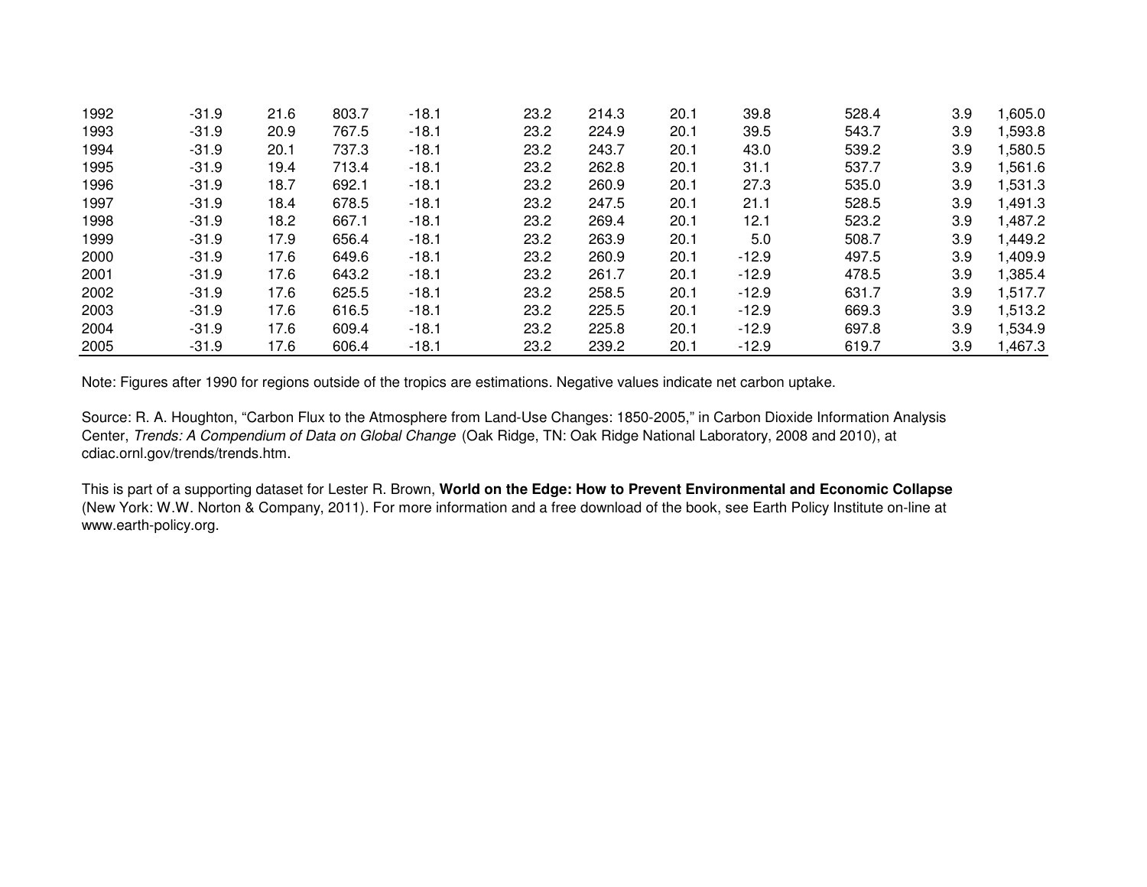| 1992 | $-31.9$ | 21.6 | 803.7 | $-18.1$ | 23.2 | 214.3 | 20.1 | 39.8    | 528.4 | 3.9 | 1,605.0 |
|------|---------|------|-------|---------|------|-------|------|---------|-------|-----|---------|
| 1993 | $-31.9$ | 20.9 | 767.5 | $-18.1$ | 23.2 | 224.9 | 20.1 | 39.5    | 543.7 | 3.9 | 1,593.8 |
| 1994 | $-31.9$ | 20.1 | 737.3 | $-18.1$ | 23.2 | 243.7 | 20.1 | 43.0    | 539.2 | 3.9 | 1,580.5 |
| 1995 | $-31.9$ | 19.4 | 713.4 | $-18.1$ | 23.2 | 262.8 | 20.1 | 31.1    | 537.7 | 3.9 | 1,561.6 |
| 1996 | $-31.9$ | 18.7 | 692.1 | $-18.1$ | 23.2 | 260.9 | 20.1 | 27.3    | 535.0 | 3.9 | 1,531.3 |
| 1997 | $-31.9$ | 18.4 | 678.5 | $-18.1$ | 23.2 | 247.5 | 20.1 | 21.1    | 528.5 | 3.9 | 1,491.3 |
| 1998 | $-31.9$ | 18.2 | 667.1 | $-18.1$ | 23.2 | 269.4 | 20.1 | 12.1    | 523.2 | 3.9 | 1,487.2 |
| 1999 | $-31.9$ | 17.9 | 656.4 | $-18.1$ | 23.2 | 263.9 | 20.1 | 5.0     | 508.7 | 3.9 | 1,449.2 |
| 2000 | $-31.9$ | 17.6 | 649.6 | $-18.1$ | 23.2 | 260.9 | 20.1 | $-12.9$ | 497.5 | 3.9 | 1,409.9 |
| 2001 | $-31.9$ | 17.6 | 643.2 | $-18.1$ | 23.2 | 261.7 | 20.1 | $-12.9$ | 478.5 | 3.9 | 1,385.4 |
| 2002 | $-31.9$ | 17.6 | 625.5 | $-18.1$ | 23.2 | 258.5 | 20.1 | $-12.9$ | 631.7 | 3.9 | 1,517.7 |
| 2003 | $-31.9$ | 17.6 | 616.5 | $-18.1$ | 23.2 | 225.5 | 20.1 | $-12.9$ | 669.3 | 3.9 | 1,513.2 |
| 2004 | $-31.9$ | 17.6 | 609.4 | $-18.1$ | 23.2 | 225.8 | 20.1 | $-12.9$ | 697.8 | 3.9 | 1,534.9 |
| 2005 | $-31.9$ | 17.6 | 606.4 | -18.1   | 23.2 | 239.2 | 20.1 | $-12.9$ | 619.7 | 3.9 | 1,467.3 |

Note: Figures after 1990 for regions outside of the tropics are estimations. Negative values indicate net carbon uptake.

Source: R. A. Houghton, "Carbon Flux to the Atmosphere from Land-Use Changes: 1850-2005," in Carbon Dioxide Information Analysis Center, Trends: A Compendium of Data on Global Change (Oak Ridge, TN: Oak Ridge National Laboratory, 2008 and 2010), at cdiac.ornl.gov/trends/trends.htm.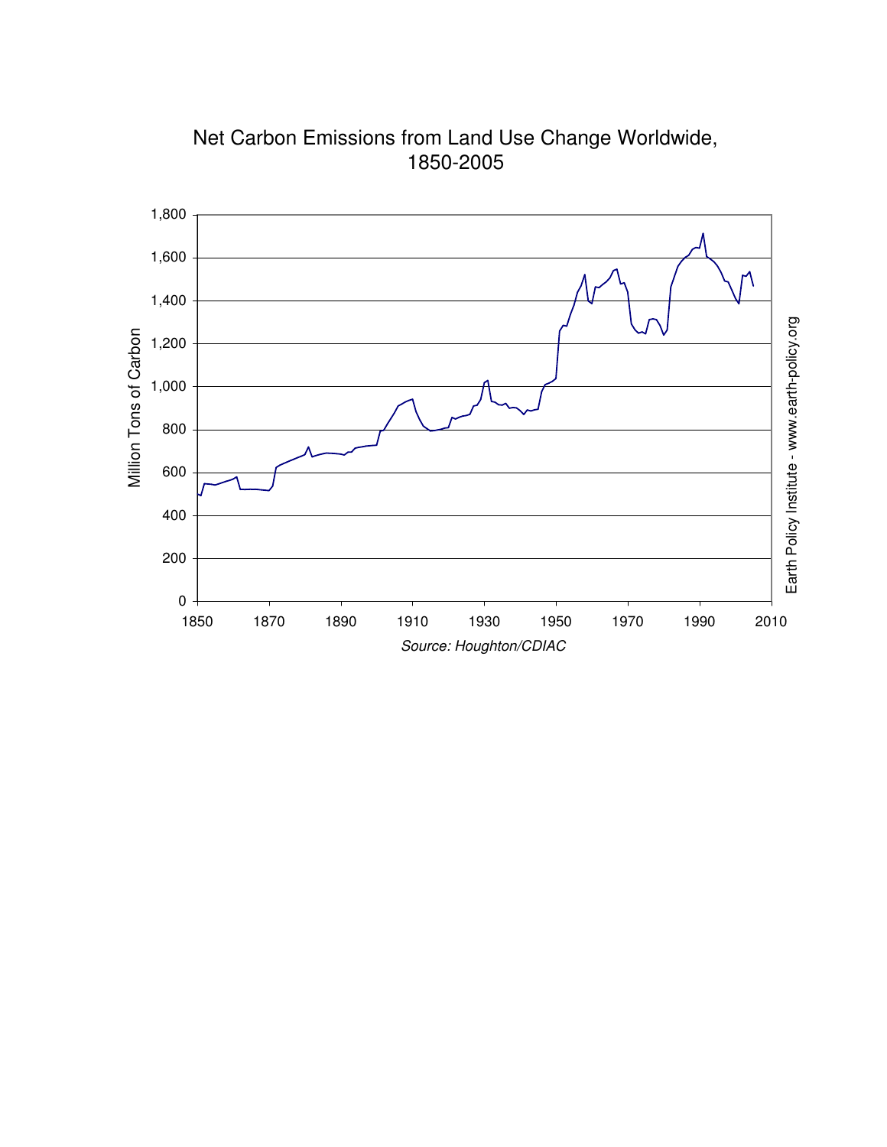

Net Carbon Emissions from Land Use Change Worldwide, 1850-2005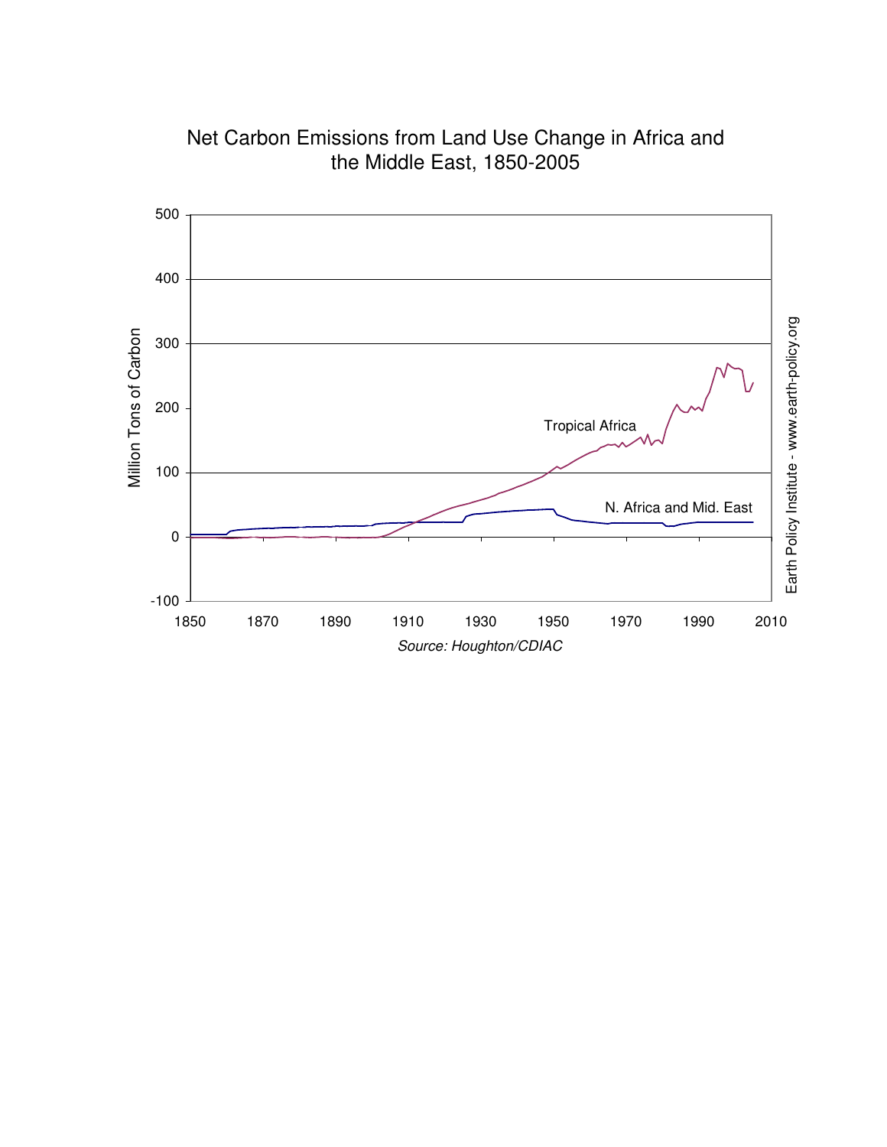

Net Carbon Emissions from Land Use Change in Africa and the Middle East, 1850-2005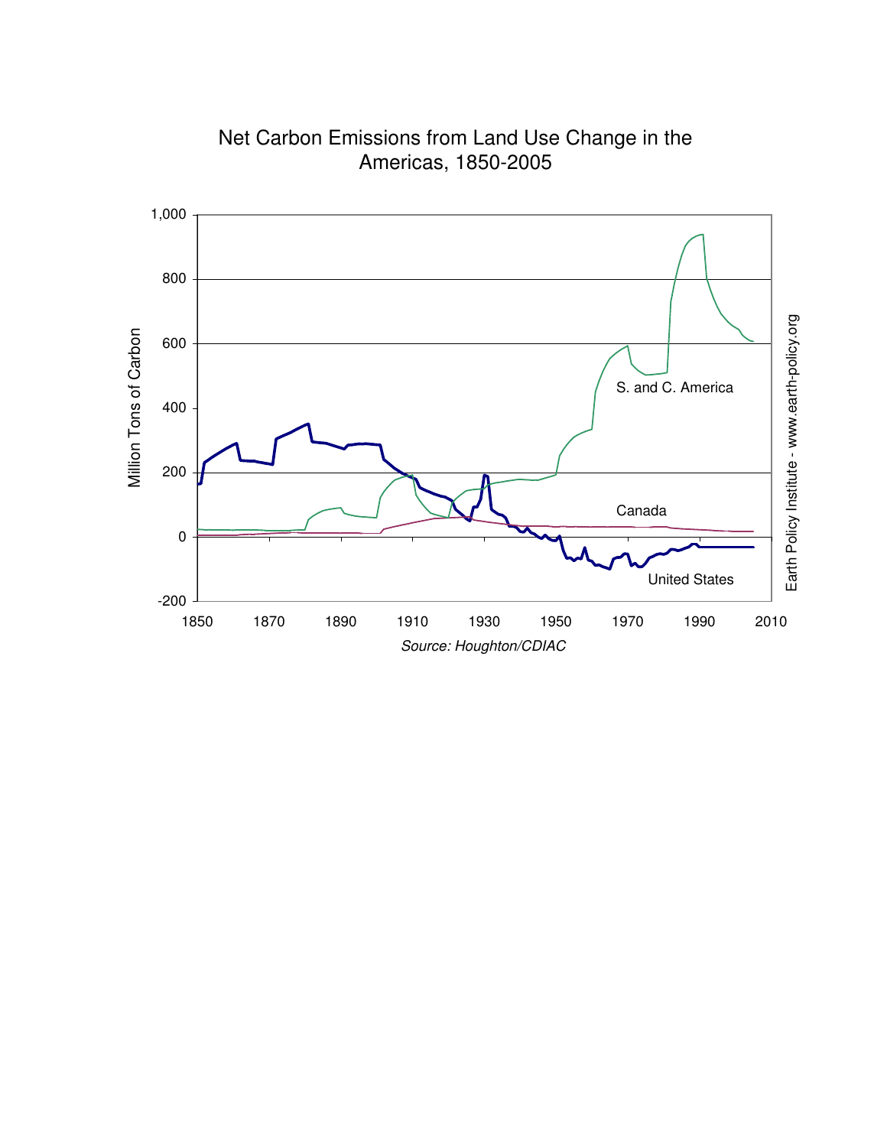

Net Carbon Emissions from Land Use Change in the Americas, 1850-2005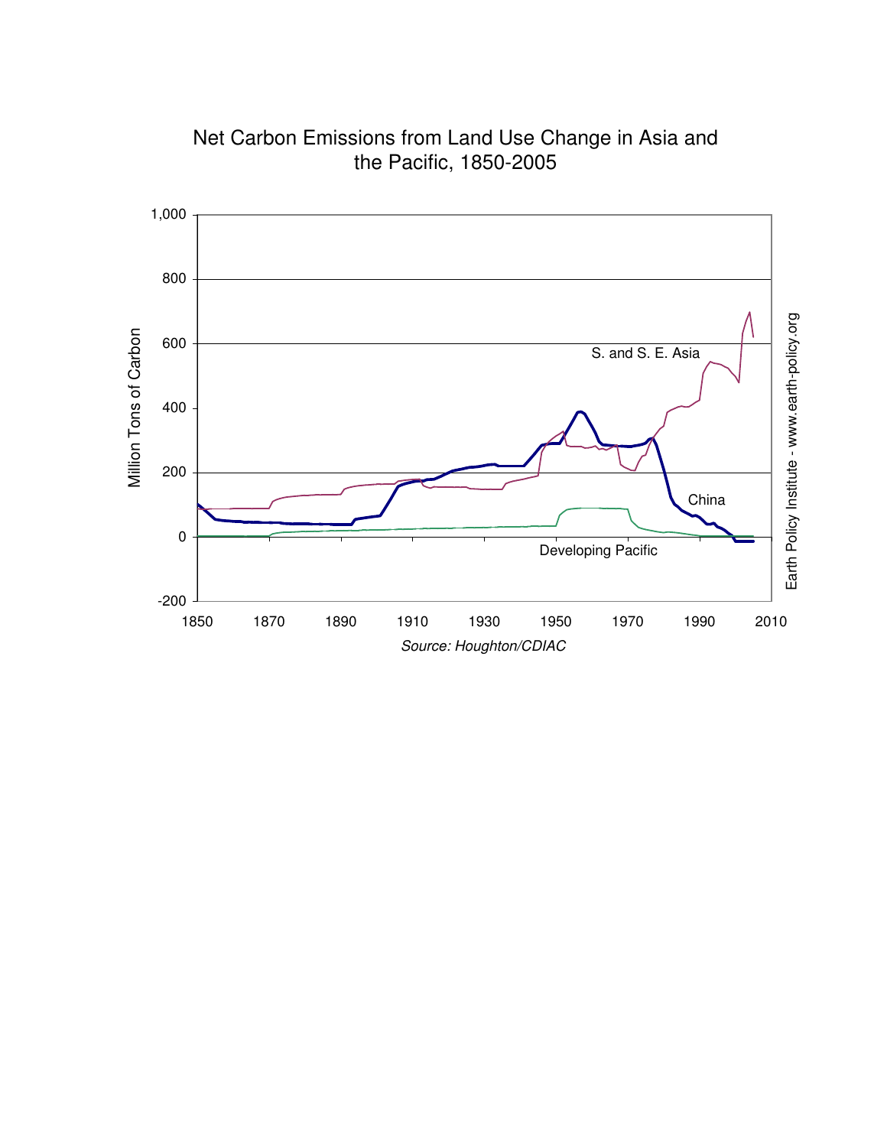

Net Carbon Emissions from Land Use Change in Asia and the Pacific, 1850-2005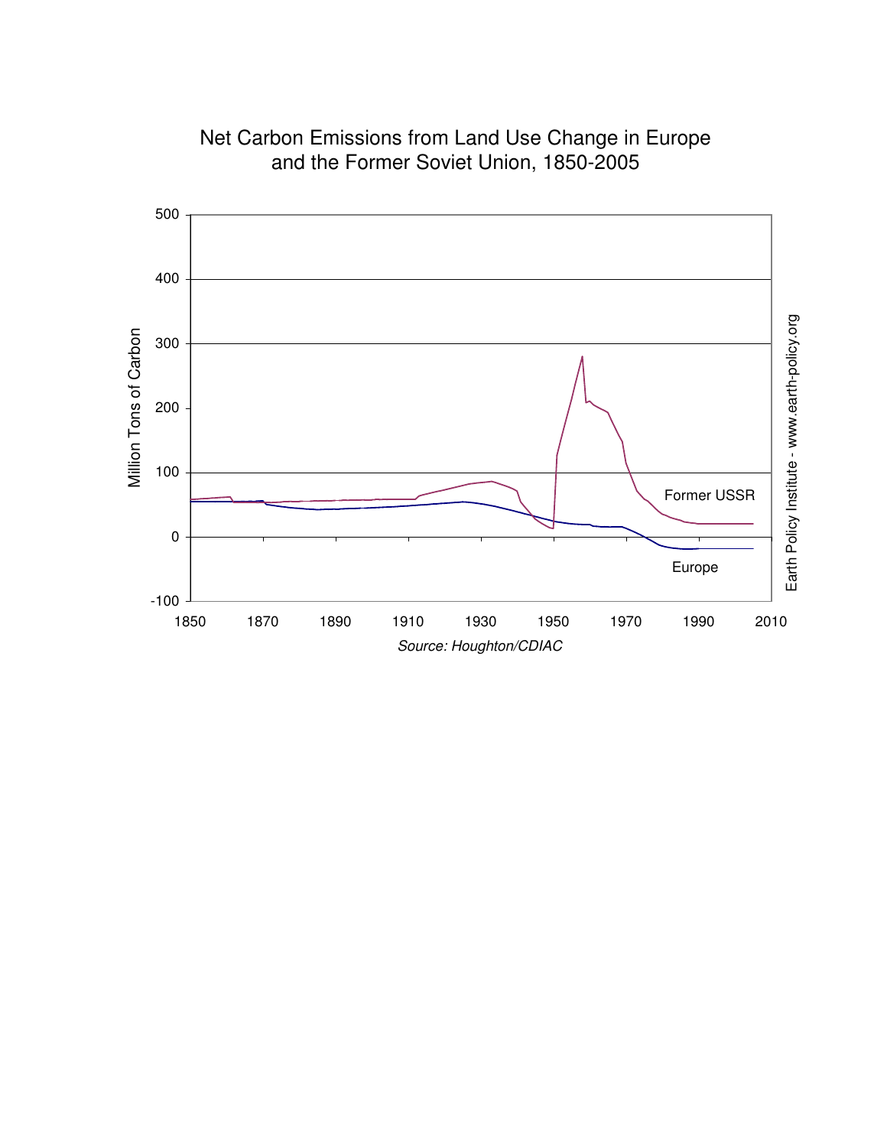

Net Carbon Emissions from Land Use Change in Europe and the Former Soviet Union, 1850-2005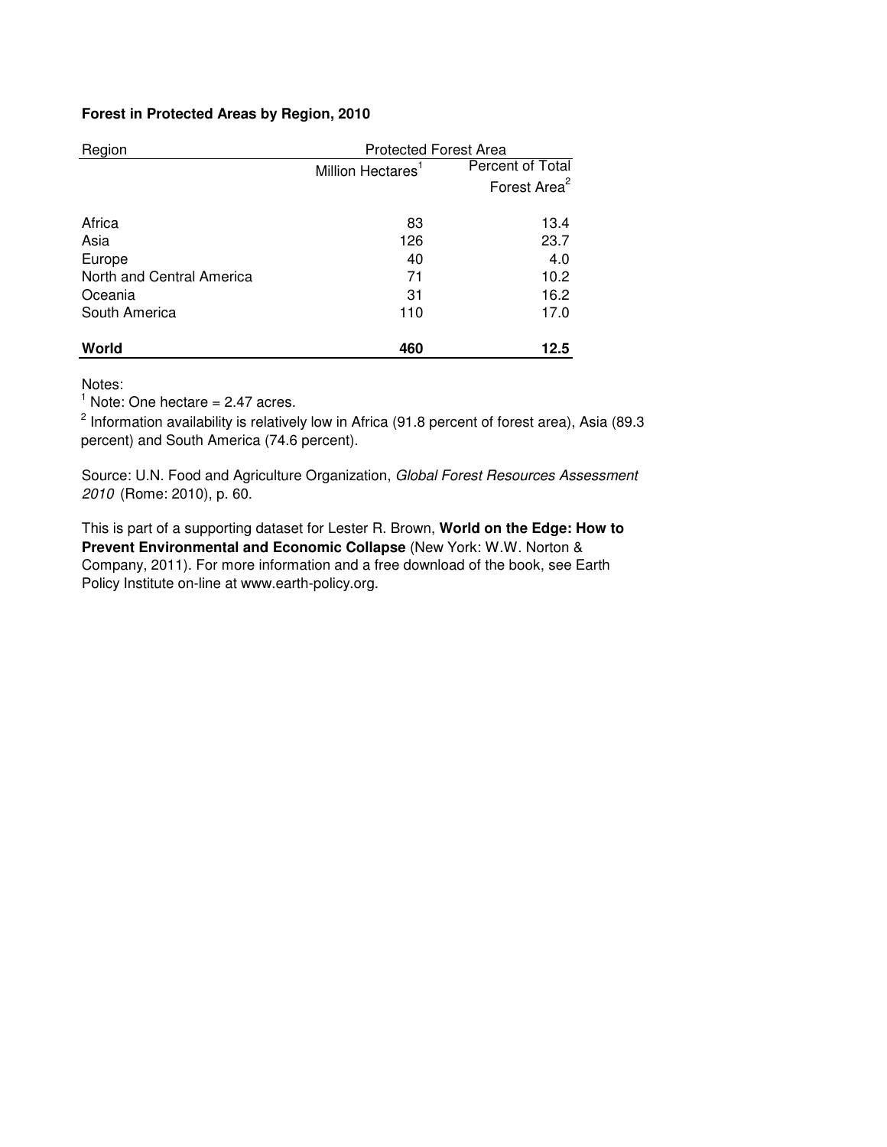# **Forest in Protected Areas by Region, 2010**

| Region                    | <b>Protected Forest Area</b>  |                          |  |  |  |
|---------------------------|-------------------------------|--------------------------|--|--|--|
|                           | Million Hectares <sup>1</sup> | Percent of Total         |  |  |  |
|                           |                               | Forest Area <sup>2</sup> |  |  |  |
| Africa                    | 83                            | 13.4                     |  |  |  |
| Asia                      | 126                           | 23.7                     |  |  |  |
| Europe                    | 40                            | 4.0                      |  |  |  |
| North and Central America | 71                            | 10.2                     |  |  |  |
| Oceania                   | 31                            | 16.2                     |  |  |  |
| South America             | 110                           | 17.0                     |  |  |  |
| World                     | 460                           | 12.5                     |  |  |  |

Notes:

 $<sup>1</sup>$  Note: One hectare = 2.47 acres.</sup>

<sup>2</sup> Information availability is relatively low in Africa (91.8 percent of forest area), Asia (89.3 percent) and South America (74.6 percent).

Source: U.N. Food and Agriculture Organization, Global Forest Resources Assessment 2010 (Rome: 2010), p. 60.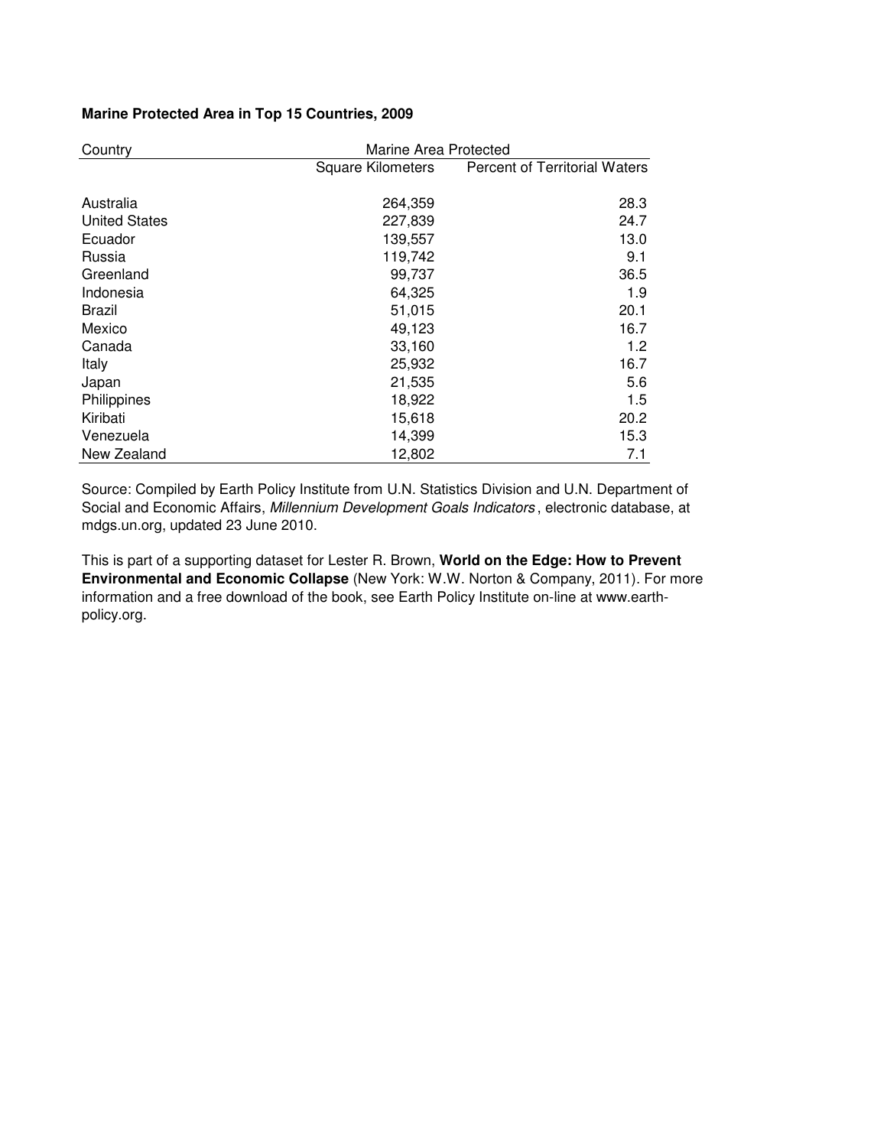## **Marine Protected Area in Top 15 Countries, 2009**

| Country              | Marine Area Protected    |                               |  |  |  |  |
|----------------------|--------------------------|-------------------------------|--|--|--|--|
|                      | <b>Square Kilometers</b> | Percent of Territorial Waters |  |  |  |  |
| Australia            | 264,359                  | 28.3                          |  |  |  |  |
| <b>United States</b> | 227,839                  | 24.7                          |  |  |  |  |
| Ecuador              | 139,557                  | 13.0                          |  |  |  |  |
| Russia               | 119,742                  | 9.1                           |  |  |  |  |
| Greenland            | 99,737                   | 36.5                          |  |  |  |  |
| Indonesia            | 64,325                   | 1.9                           |  |  |  |  |
| Brazil               | 51,015                   | 20.1                          |  |  |  |  |
| Mexico               | 49,123                   | 16.7                          |  |  |  |  |
| Canada               | 33,160                   | 1.2                           |  |  |  |  |
| Italy                | 25,932                   | 16.7                          |  |  |  |  |
| Japan                | 21,535                   | 5.6                           |  |  |  |  |
| Philippines          | 18,922                   | 1.5                           |  |  |  |  |
| Kiribati             | 15,618                   | 20.2                          |  |  |  |  |
| Venezuela            | 14,399                   | 15.3                          |  |  |  |  |
| New Zealand          | 12,802                   | 7.1                           |  |  |  |  |

Source: Compiled by Earth Policy Institute from U.N. Statistics Division and U.N. Department of Social and Economic Affairs, Millennium Development Goals Indicators, electronic database, at mdgs.un.org, updated 23 June 2010.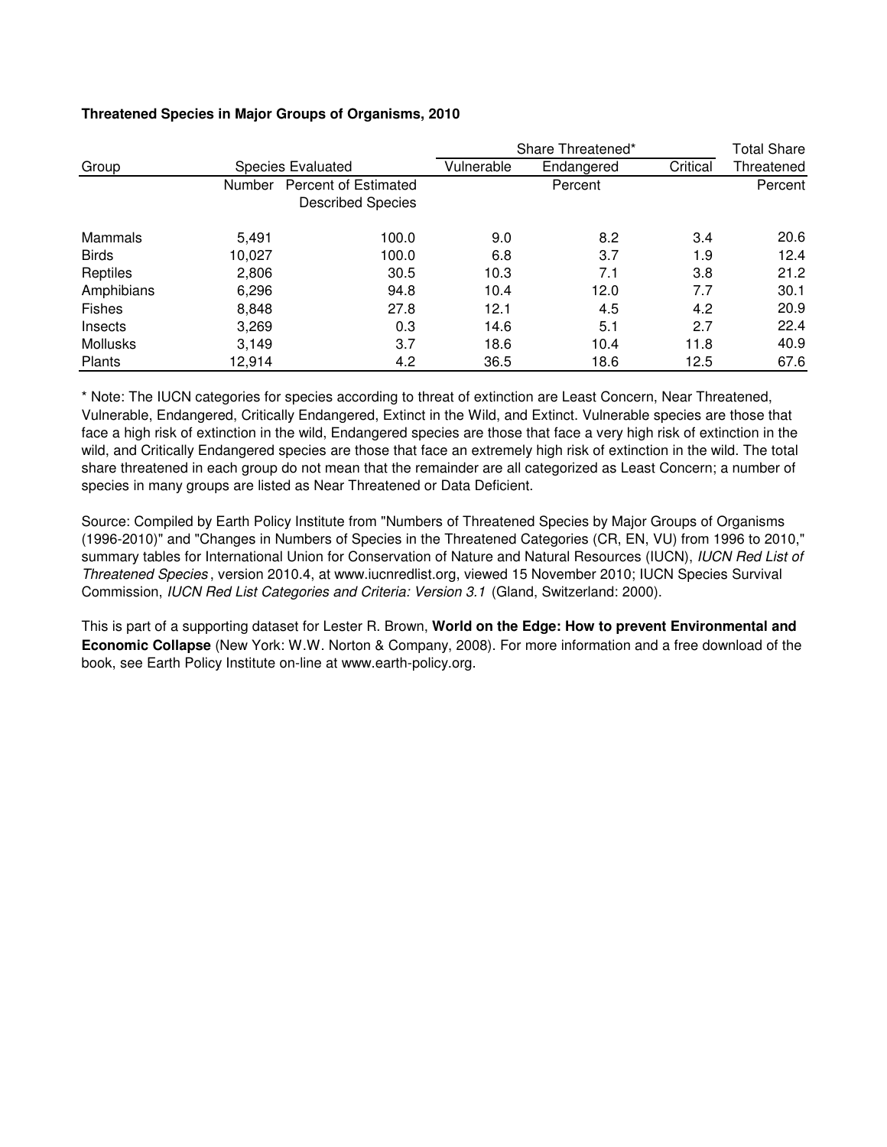|                 |        |                                                         | Share Threatened* | <b>Total Share</b> |          |            |
|-----------------|--------|---------------------------------------------------------|-------------------|--------------------|----------|------------|
| Group           |        | <b>Species Evaluated</b>                                | Vulnerable        | Endangered         | Critical | Threatened |
|                 | Number | <b>Percent of Estimated</b><br><b>Described Species</b> |                   | Percent            |          | Percent    |
| Mammals         | 5,491  | 100.0                                                   | 9.0               | 8.2                | 3.4      | 20.6       |
| <b>Birds</b>    | 10,027 | 100.0                                                   | 6.8               | 3.7                | 1.9      | 12.4       |
| Reptiles        | 2,806  | 30.5                                                    | 10.3              | 7.1                | 3.8      | 21.2       |
| Amphibians      | 6,296  | 94.8                                                    | 10.4              | 12.0               | 7.7      | 30.1       |
| <b>Fishes</b>   | 8,848  | 27.8                                                    | 12.1              | 4.5                | 4.2      | 20.9       |
| Insects         | 3,269  | 0.3                                                     | 14.6              | 5.1                | 2.7      | 22.4       |
| <b>Mollusks</b> | 3,149  | 3.7                                                     | 18.6              | 10.4               | 11.8     | 40.9       |
| Plants          | 12,914 | 4.2                                                     | 36.5              | 18.6               | 12.5     | 67.6       |

# **Threatened Species in Major Groups of Organisms, 2010**

\* Note: The IUCN categories for species according to threat of extinction are Least Concern, Near Threatened, Vulnerable, Endangered, Critically Endangered, Extinct in the Wild, and Extinct. Vulnerable species are those that face a high risk of extinction in the wild, Endangered species are those that face a very high risk of extinction in the wild, and Critically Endangered species are those that face an extremely high risk of extinction in the wild. The total share threatened in each group do not mean that the remainder are all categorized as Least Concern; a number of species in many groups are listed as Near Threatened or Data Deficient.

Source: Compiled by Earth Policy Institute from "Numbers of Threatened Species by Major Groups of Organisms (1996-2010)" and "Changes in Numbers of Species in the Threatened Categories (CR, EN, VU) from 1996 to 2010," summary tables for International Union for Conservation of Nature and Natural Resources (IUCN), IUCN Red List of Threatened Species , version 2010.4, at www.iucnredlist.org, viewed 15 November 2010; IUCN Species Survival Commission, IUCN Red List Categories and Criteria: Version 3.1 (Gland, Switzerland: 2000).